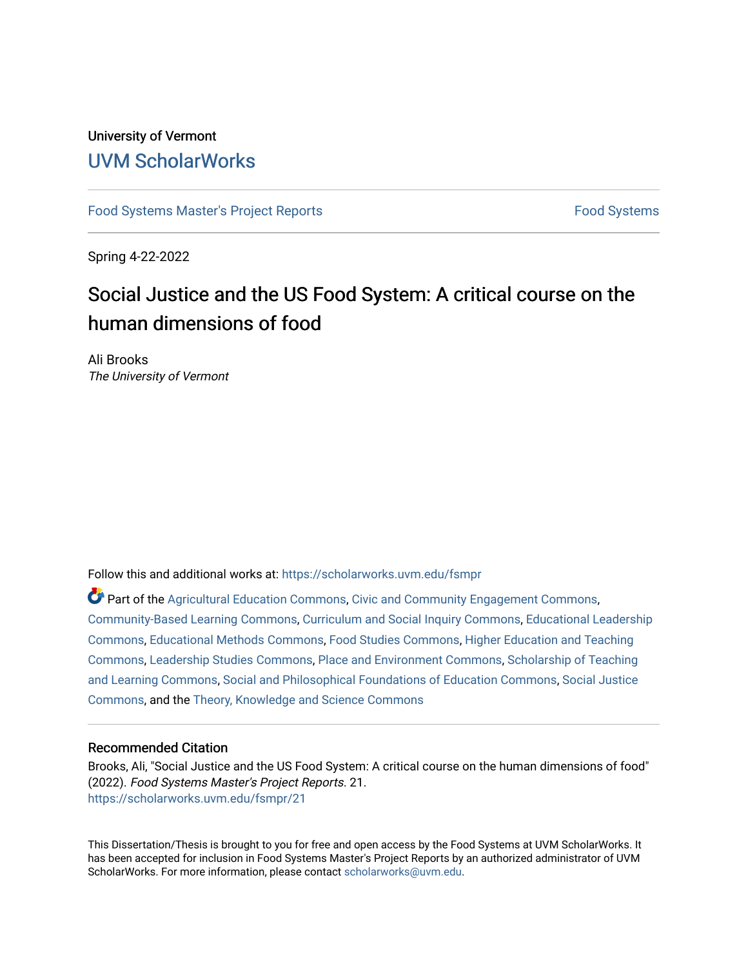## University of Vermont [UVM ScholarWorks](https://scholarworks.uvm.edu/)

[Food Systems Master's Project Reports](https://scholarworks.uvm.edu/fsmpr) [Food Systems](https://scholarworks.uvm.edu/foodsystems) 

Spring 4-22-2022

# Social Justice and the US Food System: A critical course on the human dimensions of food

Ali Brooks The University of Vermont

Follow this and additional works at: [https://scholarworks.uvm.edu/fsmpr](https://scholarworks.uvm.edu/fsmpr?utm_source=scholarworks.uvm.edu%2Ffsmpr%2F21&utm_medium=PDF&utm_campaign=PDFCoverPages)

Part of the [Agricultural Education Commons,](http://network.bepress.com/hgg/discipline/1231?utm_source=scholarworks.uvm.edu%2Ffsmpr%2F21&utm_medium=PDF&utm_campaign=PDFCoverPages) [Civic and Community Engagement Commons](http://network.bepress.com/hgg/discipline/1028?utm_source=scholarworks.uvm.edu%2Ffsmpr%2F21&utm_medium=PDF&utm_campaign=PDFCoverPages), [Community-Based Learning Commons](http://network.bepress.com/hgg/discipline/1046?utm_source=scholarworks.uvm.edu%2Ffsmpr%2F21&utm_medium=PDF&utm_campaign=PDFCoverPages), [Curriculum and Social Inquiry Commons](http://network.bepress.com/hgg/discipline/1038?utm_source=scholarworks.uvm.edu%2Ffsmpr%2F21&utm_medium=PDF&utm_campaign=PDFCoverPages), [Educational Leadership](http://network.bepress.com/hgg/discipline/1230?utm_source=scholarworks.uvm.edu%2Ffsmpr%2F21&utm_medium=PDF&utm_campaign=PDFCoverPages)  [Commons](http://network.bepress.com/hgg/discipline/1230?utm_source=scholarworks.uvm.edu%2Ffsmpr%2F21&utm_medium=PDF&utm_campaign=PDFCoverPages), [Educational Methods Commons](http://network.bepress.com/hgg/discipline/1227?utm_source=scholarworks.uvm.edu%2Ffsmpr%2F21&utm_medium=PDF&utm_campaign=PDFCoverPages), [Food Studies Commons](http://network.bepress.com/hgg/discipline/1386?utm_source=scholarworks.uvm.edu%2Ffsmpr%2F21&utm_medium=PDF&utm_campaign=PDFCoverPages), [Higher Education and Teaching](http://network.bepress.com/hgg/discipline/806?utm_source=scholarworks.uvm.edu%2Ffsmpr%2F21&utm_medium=PDF&utm_campaign=PDFCoverPages)  [Commons](http://network.bepress.com/hgg/discipline/806?utm_source=scholarworks.uvm.edu%2Ffsmpr%2F21&utm_medium=PDF&utm_campaign=PDFCoverPages), [Leadership Studies Commons,](http://network.bepress.com/hgg/discipline/1250?utm_source=scholarworks.uvm.edu%2Ffsmpr%2F21&utm_medium=PDF&utm_campaign=PDFCoverPages) [Place and Environment Commons](http://network.bepress.com/hgg/discipline/424?utm_source=scholarworks.uvm.edu%2Ffsmpr%2F21&utm_medium=PDF&utm_campaign=PDFCoverPages), [Scholarship of Teaching](http://network.bepress.com/hgg/discipline/1328?utm_source=scholarworks.uvm.edu%2Ffsmpr%2F21&utm_medium=PDF&utm_campaign=PDFCoverPages)  [and Learning Commons](http://network.bepress.com/hgg/discipline/1328?utm_source=scholarworks.uvm.edu%2Ffsmpr%2F21&utm_medium=PDF&utm_campaign=PDFCoverPages), [Social and Philosophical Foundations of Education Commons](http://network.bepress.com/hgg/discipline/799?utm_source=scholarworks.uvm.edu%2Ffsmpr%2F21&utm_medium=PDF&utm_campaign=PDFCoverPages), [Social Justice](http://network.bepress.com/hgg/discipline/1432?utm_source=scholarworks.uvm.edu%2Ffsmpr%2F21&utm_medium=PDF&utm_campaign=PDFCoverPages)  [Commons](http://network.bepress.com/hgg/discipline/1432?utm_source=scholarworks.uvm.edu%2Ffsmpr%2F21&utm_medium=PDF&utm_campaign=PDFCoverPages), and the [Theory, Knowledge and Science Commons](http://network.bepress.com/hgg/discipline/432?utm_source=scholarworks.uvm.edu%2Ffsmpr%2F21&utm_medium=PDF&utm_campaign=PDFCoverPages) 

#### Recommended Citation

Brooks, Ali, "Social Justice and the US Food System: A critical course on the human dimensions of food" (2022). Food Systems Master's Project Reports. 21. [https://scholarworks.uvm.edu/fsmpr/21](https://scholarworks.uvm.edu/fsmpr/21?utm_source=scholarworks.uvm.edu%2Ffsmpr%2F21&utm_medium=PDF&utm_campaign=PDFCoverPages) 

This Dissertation/Thesis is brought to you for free and open access by the Food Systems at UVM ScholarWorks. It has been accepted for inclusion in Food Systems Master's Project Reports by an authorized administrator of UVM ScholarWorks. For more information, please contact [scholarworks@uvm.edu](mailto:scholarworks@uvm.edu).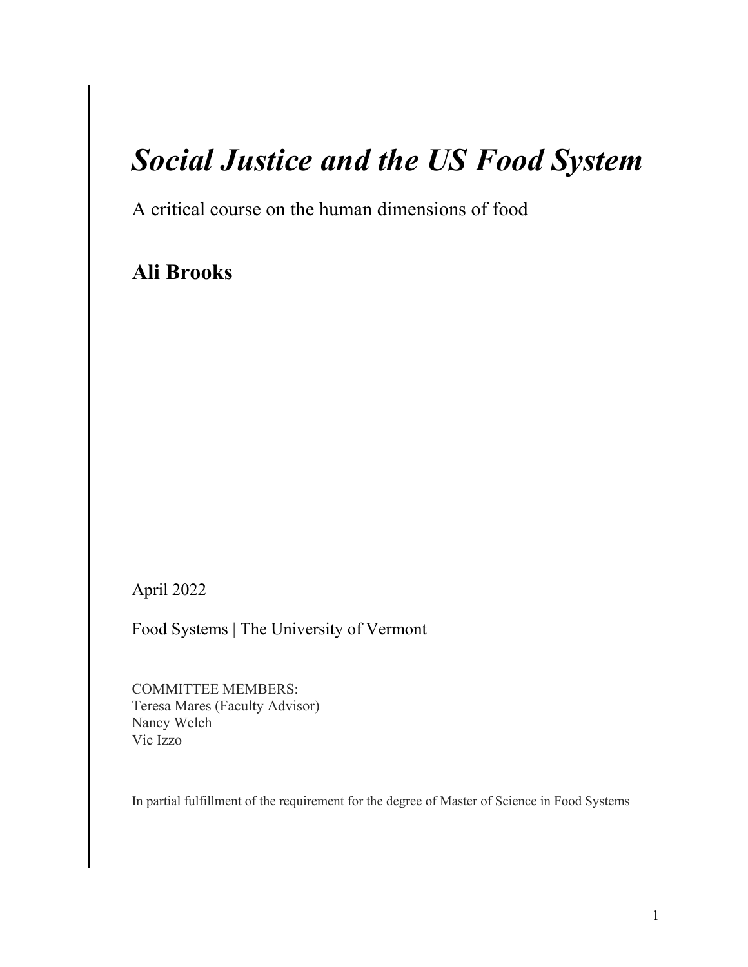# *Social Justice and the US Food System*

A critical course on the human dimensions of food

**Ali Brooks** 

April 2022

Food Systems | The University of Vermont

COMMITTEE MEMBERS: Teresa Mares (Faculty Advisor) Nancy Welch Vic Izzo

In partial fulfillment of the requirement for the degree of Master of Science in Food Systems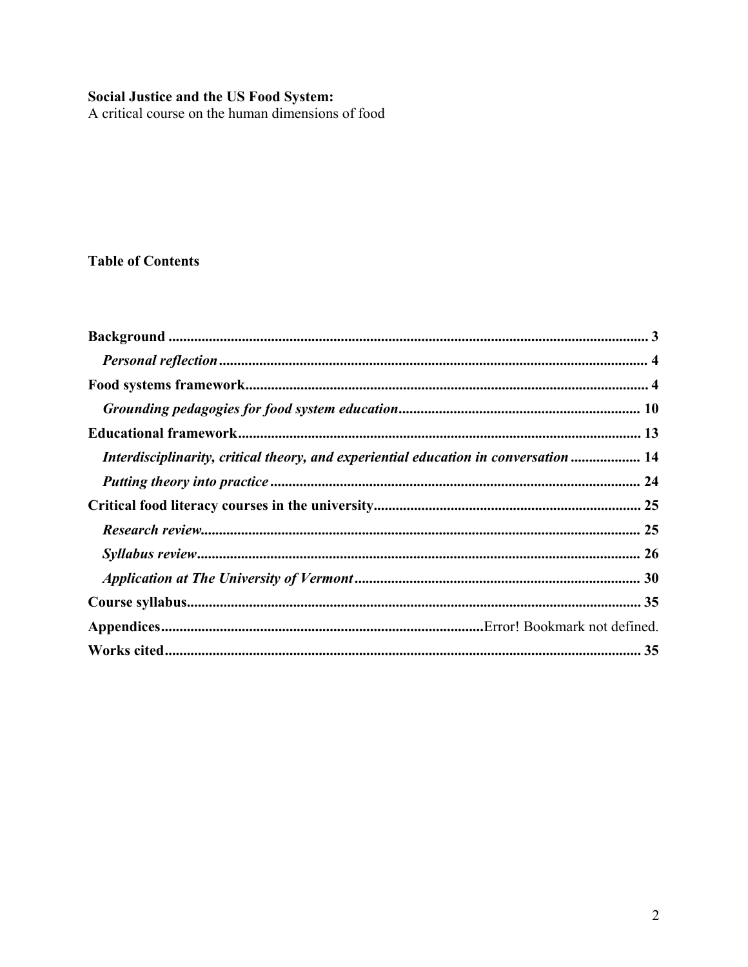Social Justice and the US Food System:<br>A critical course on the human dimensions of food

### **Table of Contents**

| Interdisciplinarity, critical theory, and experiential education in conversation  14 |  |
|--------------------------------------------------------------------------------------|--|
|                                                                                      |  |
|                                                                                      |  |
|                                                                                      |  |
|                                                                                      |  |
|                                                                                      |  |
|                                                                                      |  |
|                                                                                      |  |
|                                                                                      |  |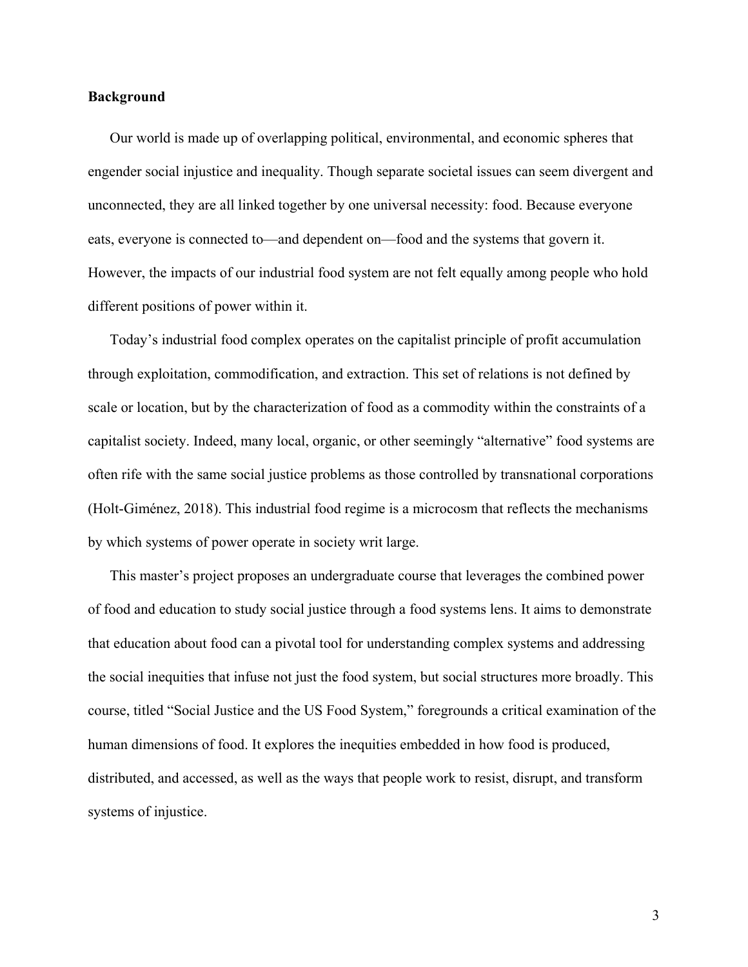#### <span id="page-3-0"></span>**Background**

Our world is made up of overlapping political, environmental, and economic spheres that engender social injustice and inequality. Though separate societal issues can seem divergent and unconnected, they are all linked together by one universal necessity: food. Because everyone eats, everyone is connected to—and dependent on—food and the systems that govern it. However, the impacts of our industrial food system are not felt equally among people who hold different positions of power within it.

Today's industrial food complex operates on the capitalist principle of profit accumulation through exploitation, commodification, and extraction. This set of relations is not defined by scale or location, but by the characterization of food as a commodity within the constraints of a capitalist society. Indeed, many local, organic, or other seemingly "alternative" food systems are often rife with the same social justice problems as those controlled by transnational corporations (Holt-Giménez, 2018). This industrial food regime is a microcosm that reflects the mechanisms by which systems of power operate in society writ large.

This master's project proposes an undergraduate course that leverages the combined power of food and education to study social justice through a food systems lens. It aims to demonstrate that education about food can a pivotal tool for understanding complex systems and addressing the social inequities that infuse not just the food system, but social structures more broadly. This course, titled "Social Justice and the US Food System," foregrounds a critical examination of the human dimensions of food. It explores the inequities embedded in how food is produced, distributed, and accessed, as well as the ways that people work to resist, disrupt, and transform systems of injustice.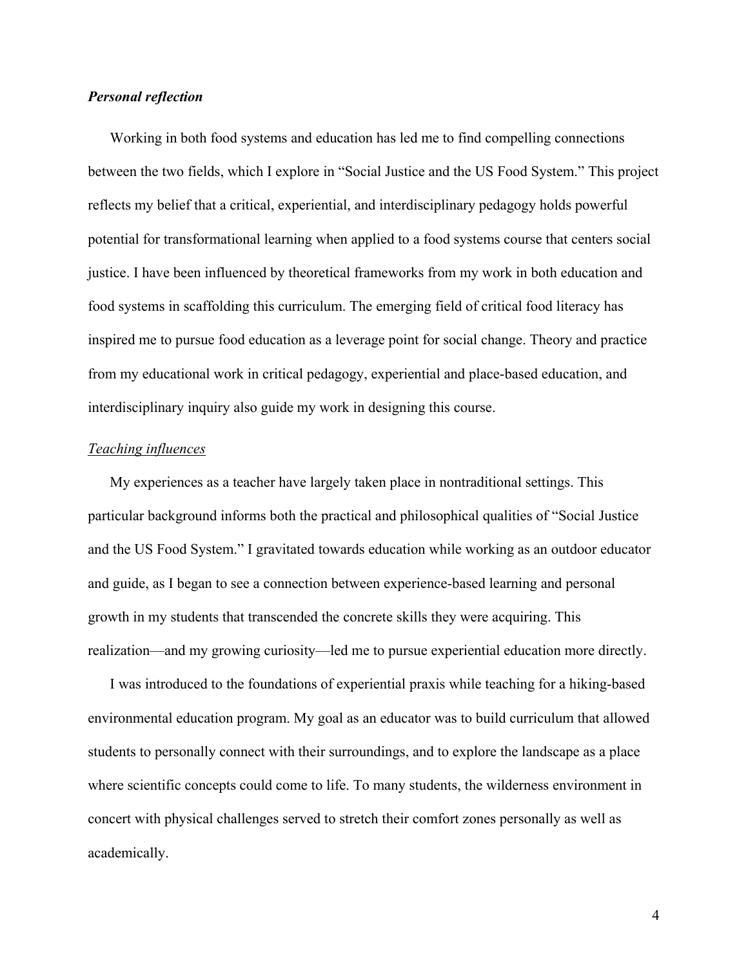#### <span id="page-4-0"></span>*Personal reflection*

Working in both food systems and education has led me to find compelling connections between the two fields, which I explore in "Social Justice and the US Food System." This project reflects my belief that a critical, experiential, and interdisciplinary pedagogy holds powerful potential for transformational learning when applied to a food systems course that centers social justice. I have been influenced by theoretical frameworks from my work in both education and food systems in scaffolding this curriculum. The emerging field of critical food literacy has inspired me to pursue food education as a leverage point for social change. Theory and practice from my educational work in critical pedagogy, experiential and place-based education, and interdisciplinary inquiry also guide my work in designing this course.

#### *Teaching influences*

My experiences as a teacher have largely taken place in nontraditional settings. This particular background informs both the practical and philosophical qualities of "Social Justice and the US Food System." I gravitated towards education while working as an outdoor educator and guide, as I began to see a connection between experience-based learning and personal growth in my students that transcended the concrete skills they were acquiring. This realization—and my growing curiosity—led me to pursue experiential education more directly.

I was introduced to the foundations of experiential praxis while teaching for a hiking-based environmental education program. My goal as an educator was to build curriculum that allowed students to personally connect with their surroundings, and to explore the landscape as a place where scientific concepts could come to life. To many students, the wilderness environment in concert with physical challenges served to stretch their comfort zones personally as well as academically.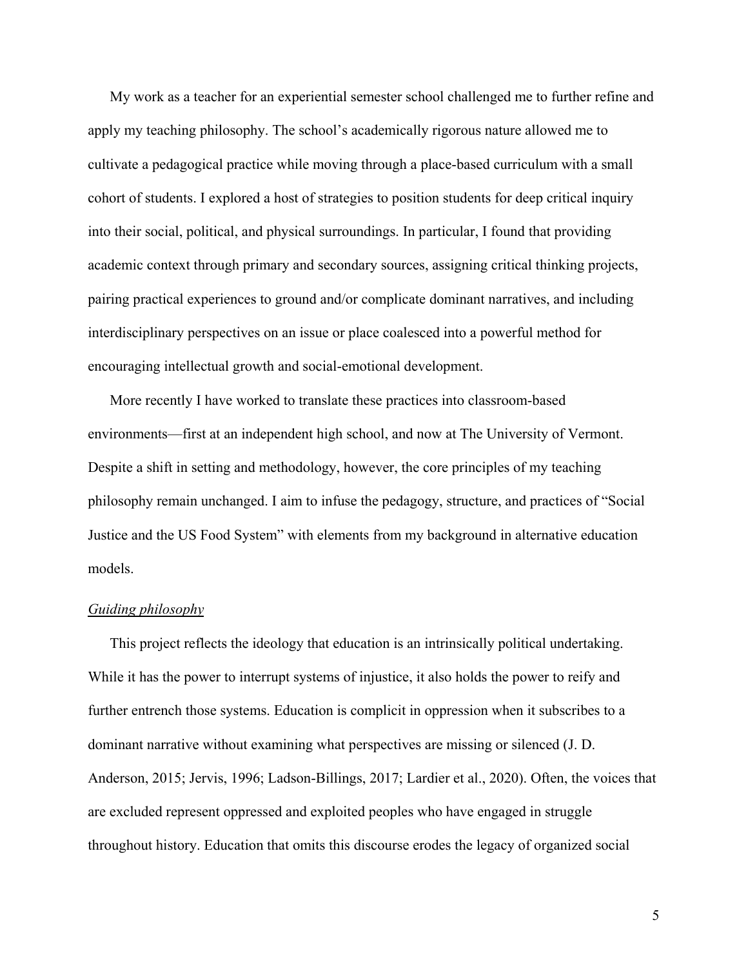My work as a teacher for an experiential semester school challenged me to further refine and apply my teaching philosophy. The school's academically rigorous nature allowed me to cultivate a pedagogical practice while moving through a place-based curriculum with a small cohort of students. I explored a host of strategies to position students for deep critical inquiry into their social, political, and physical surroundings. In particular, I found that providing academic context through primary and secondary sources, assigning critical thinking projects, pairing practical experiences to ground and/or complicate dominant narratives, and including interdisciplinary perspectives on an issue or place coalesced into a powerful method for encouraging intellectual growth and social-emotional development.

More recently I have worked to translate these practices into classroom-based environments—first at an independent high school, and now at The University of Vermont. Despite a shift in setting and methodology, however, the core principles of my teaching philosophy remain unchanged. I aim to infuse the pedagogy, structure, and practices of "Social Justice and the US Food System" with elements from my background in alternative education models.

#### *Guiding philosophy*

This project reflects the ideology that education is an intrinsically political undertaking. While it has the power to interrupt systems of injustice, it also holds the power to reify and further entrench those systems. Education is complicit in oppression when it subscribes to a dominant narrative without examining what perspectives are missing or silenced (J. D. Anderson, 2015; Jervis, 1996; Ladson-Billings, 2017; Lardier et al., 2020). Often, the voices that are excluded represent oppressed and exploited peoples who have engaged in struggle throughout history. Education that omits this discourse erodes the legacy of organized social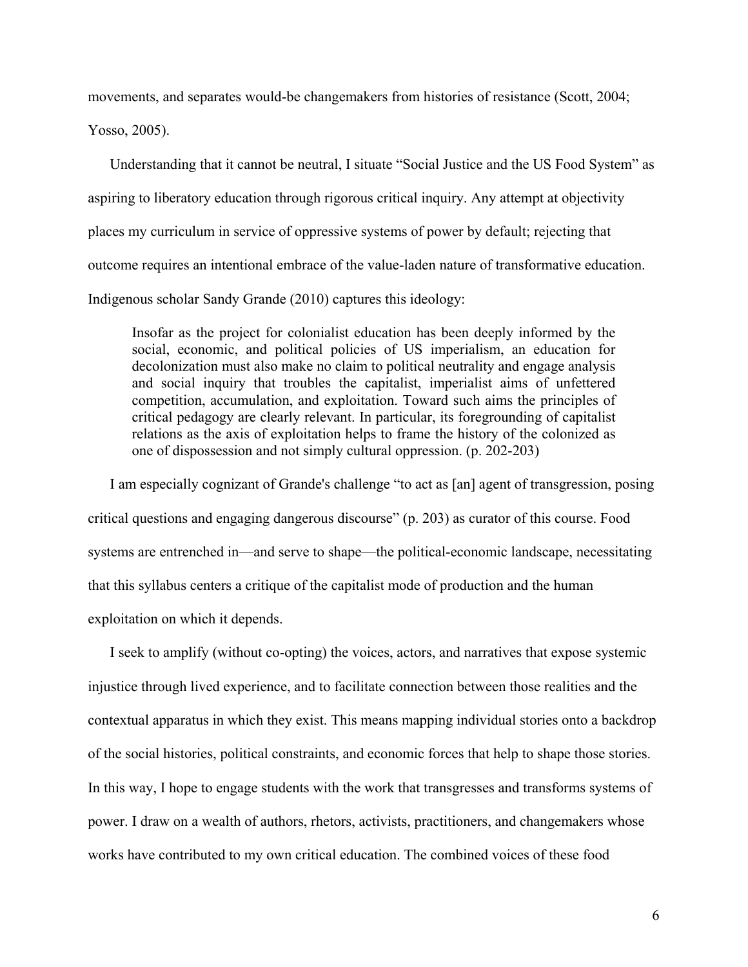movements, and separates would-be changemakers from histories of resistance (Scott, 2004;

Yosso, 2005).

Understanding that it cannot be neutral, I situate "Social Justice and the US Food System" as aspiring to liberatory education through rigorous critical inquiry. Any attempt at objectivity places my curriculum in service of oppressive systems of power by default; rejecting that outcome requires an intentional embrace of the value-laden nature of transformative education. Indigenous scholar Sandy Grande (2010) captures this ideology:

Insofar as the project for colonialist education has been deeply informed by the social, economic, and political policies of US imperialism, an education for decolonization must also make no claim to political neutrality and engage analysis and social inquiry that troubles the capitalist, imperialist aims of unfettered competition, accumulation, and exploitation. Toward such aims the principles of critical pedagogy are clearly relevant. In particular, its foregrounding of capitalist relations as the axis of exploitation helps to frame the history of the colonized as one of dispossession and not simply cultural oppression. (p. 202-203)

I am especially cognizant of Grande's challenge "to act as [an] agent of transgression, posing critical questions and engaging dangerous discourse" (p. 203) as curator of this course. Food systems are entrenched in—and serve to shape—the political-economic landscape, necessitating that this syllabus centers a critique of the capitalist mode of production and the human exploitation on which it depends.

I seek to amplify (without co-opting) the voices, actors, and narratives that expose systemic injustice through lived experience, and to facilitate connection between those realities and the contextual apparatus in which they exist. This means mapping individual stories onto a backdrop of the social histories, political constraints, and economic forces that help to shape those stories. In this way, I hope to engage students with the work that transgresses and transforms systems of power. I draw on a wealth of authors, rhetors, activists, practitioners, and changemakers whose works have contributed to my own critical education. The combined voices of these food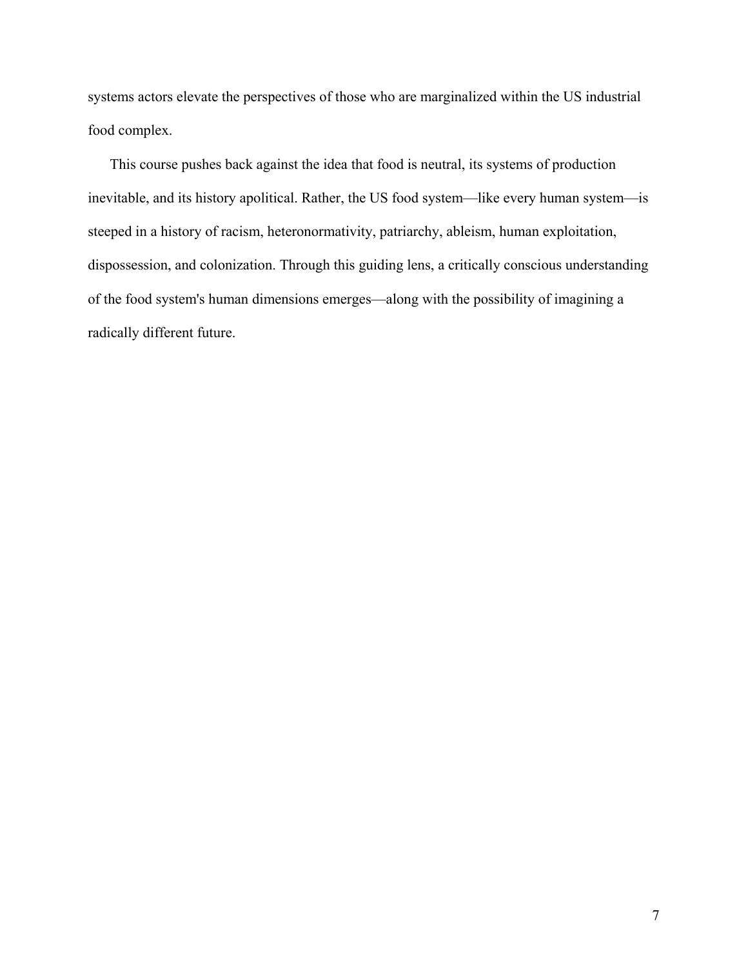systems actors elevate the perspectives of those who are marginalized within the US industrial food complex.

This course pushes back against the idea that food is neutral, its systems of production inevitable, and its history apolitical. Rather, the US food system—like every human system—is steeped in a history of racism, heteronormativity, patriarchy, ableism, human exploitation, dispossession, and colonization. Through this guiding lens, a critically conscious understanding of the food system's human dimensions emerges—along with the possibility of imagining a radically different future.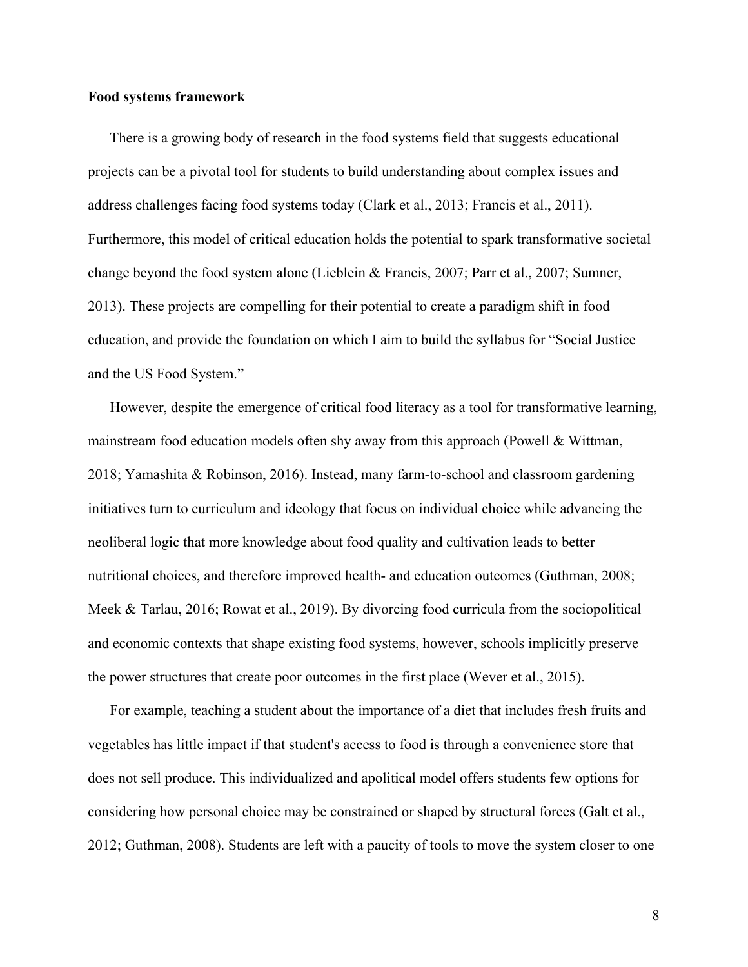#### **Food systems framework**

There is a growing body of research in the food systems field that suggests educational projects can be a pivotal tool for students to build understanding about complex issues and address challenges facing food systems today (Clark et al., 2013; Francis et al., 2011). Furthermore, this model of critical education holds the potential to spark transformative societal change beyond the food system alone (Lieblein & Francis, 2007; Parr et al., 2007; Sumner, 2013). These projects are compelling for their potential to create a paradigm shift in food education, and provide the foundation on which I aim to build the syllabus for "Social Justice and the US Food System."

However, despite the emergence of critical food literacy as a tool for transformative learning, mainstream food education models often shy away from this approach (Powell & Wittman, 2018; Yamashita & Robinson, 2016). Instead, many farm-to-school and classroom gardening initiatives turn to curriculum and ideology that focus on individual choice while advancing the neoliberal logic that more knowledge about food quality and cultivation leads to better nutritional choices, and therefore improved health- and education outcomes (Guthman, 2008; Meek & Tarlau, 2016; Rowat et al., 2019). By divorcing food curricula from the sociopolitical and economic contexts that shape existing food systems, however, schools implicitly preserve the power structures that create poor outcomes in the first place (Wever et al., 2015).

For example, teaching a student about the importance of a diet that includes fresh fruits and vegetables has little impact if that student's access to food is through a convenience store that does not sell produce. This individualized and apolitical model offers students few options for considering how personal choice may be constrained or shaped by structural forces (Galt et al., 2012; Guthman, 2008). Students are left with a paucity of tools to move the system closer to one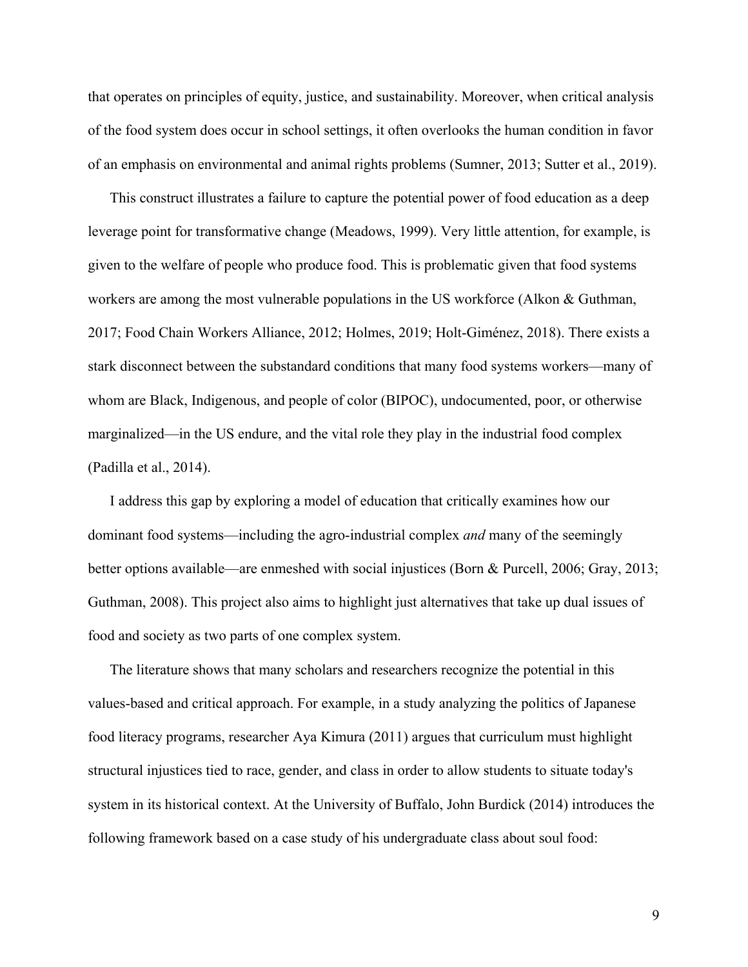that operates on principles of equity, justice, and sustainability. Moreover, when critical analysis of the food system does occur in school settings, it often overlooks the human condition in favor of an emphasis on environmental and animal rights problems (Sumner, 2013; Sutter et al., 2019).

This construct illustrates a failure to capture the potential power of food education as a deep leverage point for transformative change (Meadows, 1999). Very little attention, for example, is given to the welfare of people who produce food. This is problematic given that food systems workers are among the most vulnerable populations in the US workforce (Alkon & Guthman, 2017; Food Chain Workers Alliance, 2012; Holmes, 2019; Holt-Giménez, 2018). There exists a stark disconnect between the substandard conditions that many food systems workers—many of whom are Black, Indigenous, and people of color (BIPOC), undocumented, poor, or otherwise marginalized—in the US endure, and the vital role they play in the industrial food complex (Padilla et al., 2014).

I address this gap by exploring a model of education that critically examines how our dominant food systems—including the agro-industrial complex *and* many of the seemingly better options available—are enmeshed with social injustices (Born & Purcell, 2006; Gray, 2013; Guthman, 2008). This project also aims to highlight just alternatives that take up dual issues of food and society as two parts of one complex system.

The literature shows that many scholars and researchers recognize the potential in this values-based and critical approach. For example, in a study analyzing the politics of Japanese food literacy programs, researcher Aya Kimura (2011) argues that curriculum must highlight structural injustices tied to race, gender, and class in order to allow students to situate today's system in its historical context. At the University of Buffalo, John Burdick (2014) introduces the following framework based on a case study of his undergraduate class about soul food: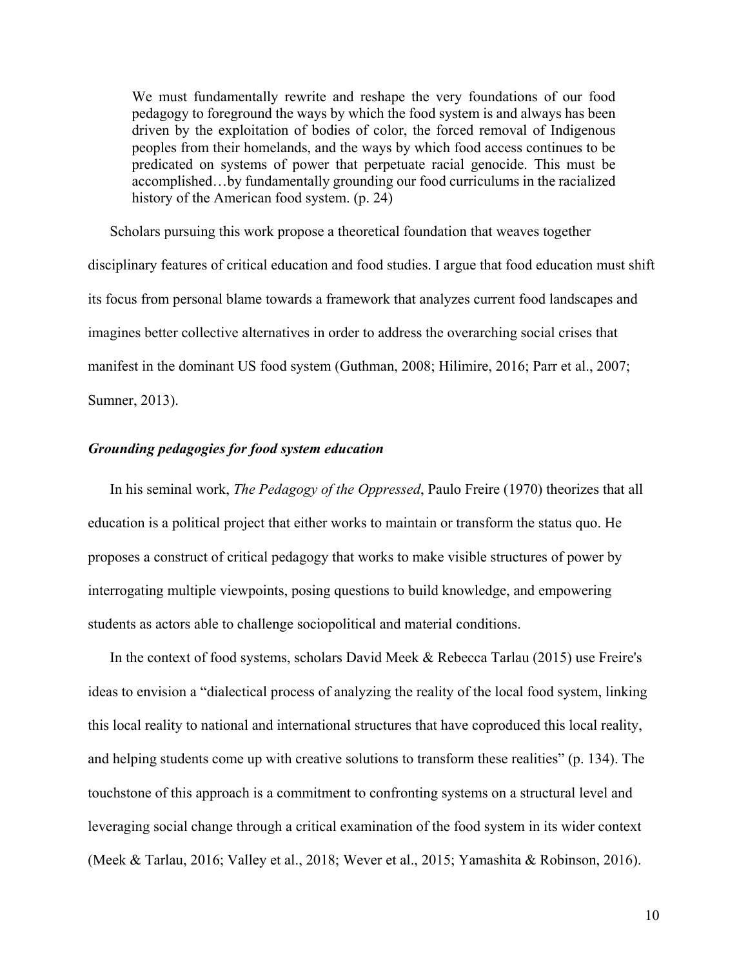We must fundamentally rewrite and reshape the very foundations of our food pedagogy to foreground the ways by which the food system is and always has been driven by the exploitation of bodies of color, the forced removal of Indigenous peoples from their homelands, and the ways by which food access continues to be predicated on systems of power that perpetuate racial genocide. This must be accomplished…by fundamentally grounding our food curriculums in the racialized history of the American food system. (p. 24)

Scholars pursuing this work propose a theoretical foundation that weaves together disciplinary features of critical education and food studies. I argue that food education must shift its focus from personal blame towards a framework that analyzes current food landscapes and imagines better collective alternatives in order to address the overarching social crises that manifest in the dominant US food system (Guthman, 2008; Hilimire, 2016; Parr et al., 2007; Sumner, 2013).

#### <span id="page-10-0"></span>*Grounding pedagogies for food system education*

In his seminal work, *The Pedagogy of the Oppressed*, Paulo Freire (1970) theorizes that all education is a political project that either works to maintain or transform the status quo. He proposes a construct of critical pedagogy that works to make visible structures of power by interrogating multiple viewpoints, posing questions to build knowledge, and empowering students as actors able to challenge sociopolitical and material conditions.

In the context of food systems, scholars David Meek & Rebecca Tarlau (2015) use Freire's ideas to envision a "dialectical process of analyzing the reality of the local food system, linking this local reality to national and international structures that have coproduced this local reality, and helping students come up with creative solutions to transform these realities" (p. 134). The touchstone of this approach is a commitment to confronting systems on a structural level and leveraging social change through a critical examination of the food system in its wider context (Meek & Tarlau, 2016; Valley et al., 2018; Wever et al., 2015; Yamashita & Robinson, 2016).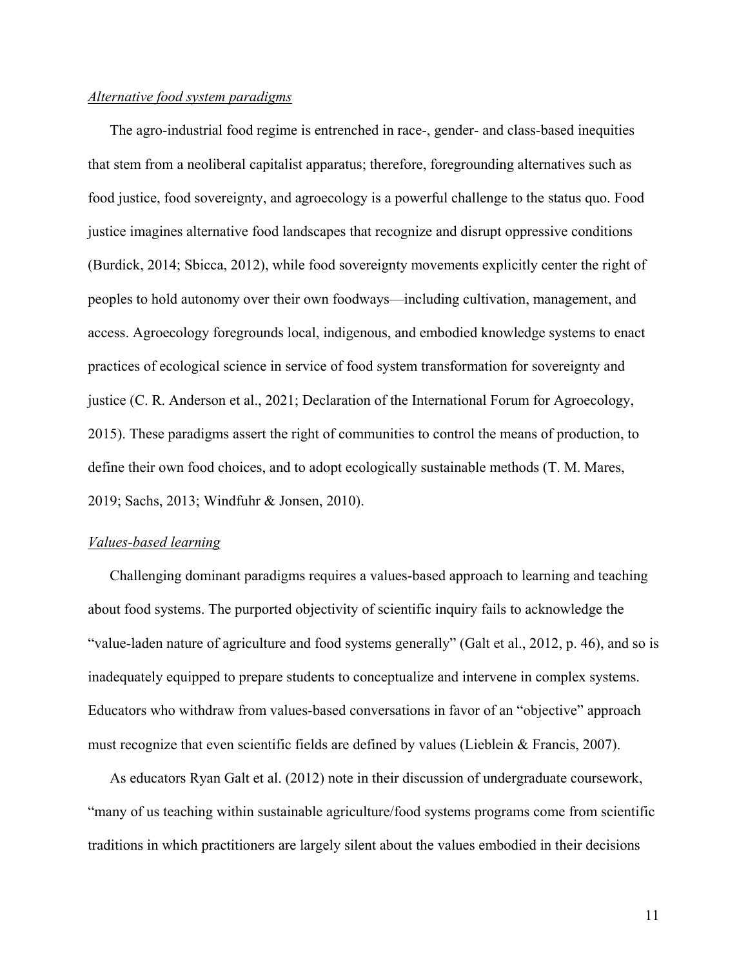#### *Alternative food system paradigms*

The agro-industrial food regime is entrenched in race-, gender- and class-based inequities that stem from a neoliberal capitalist apparatus; therefore, foregrounding alternatives such as food justice, food sovereignty, and agroecology is a powerful challenge to the status quo. Food justice imagines alternative food landscapes that recognize and disrupt oppressive conditions (Burdick, 2014; Sbicca, 2012), while food sovereignty movements explicitly center the right of peoples to hold autonomy over their own foodways—including cultivation, management, and access. Agroecology foregrounds local, indigenous, and embodied knowledge systems to enact practices of ecological science in service of food system transformation for sovereignty and justice (C. R. Anderson et al., 2021; Declaration of the International Forum for Agroecology, 2015). These paradigms assert the right of communities to control the means of production, to define their own food choices, and to adopt ecologically sustainable methods (T. M. Mares, 2019; Sachs, 2013; Windfuhr & Jonsen, 2010).

#### *Values-based learning*

Challenging dominant paradigms requires a values-based approach to learning and teaching about food systems. The purported objectivity of scientific inquiry fails to acknowledge the "value-laden nature of agriculture and food systems generally" (Galt et al., 2012, p. 46), and so is inadequately equipped to prepare students to conceptualize and intervene in complex systems. Educators who withdraw from values-based conversations in favor of an "objective" approach must recognize that even scientific fields are defined by values (Lieblein & Francis, 2007).

As educators Ryan Galt et al. (2012) note in their discussion of undergraduate coursework, "many of us teaching within sustainable agriculture/food systems programs come from scientific traditions in which practitioners are largely silent about the values embodied in their decisions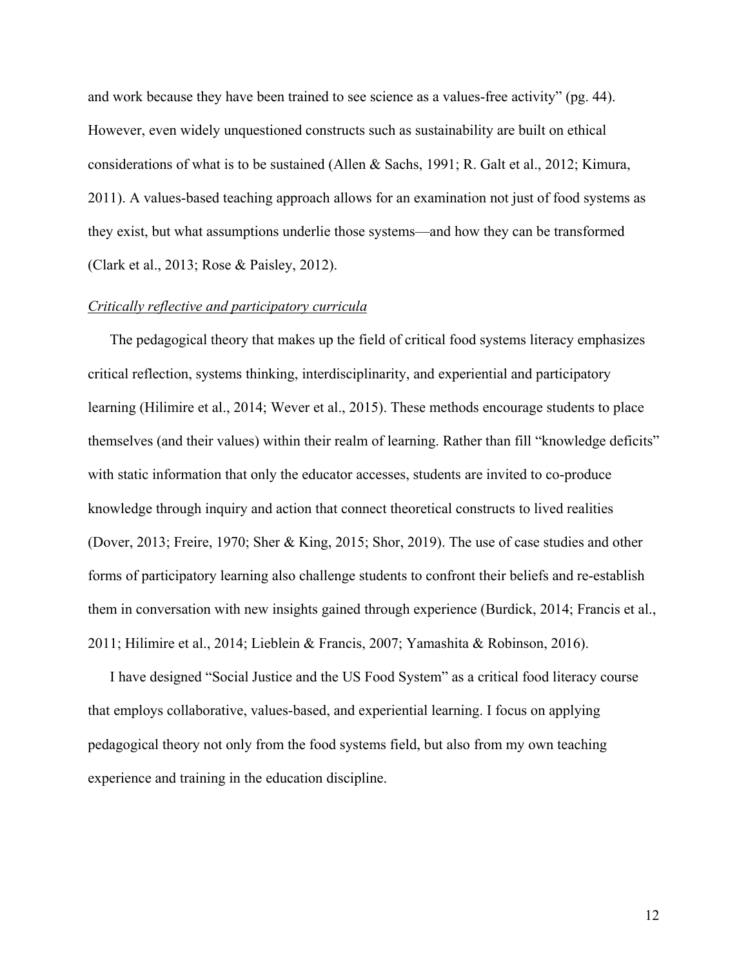and work because they have been trained to see science as a values-free activity" (pg. 44). However, even widely unquestioned constructs such as sustainability are built on ethical considerations of what is to be sustained (Allen & Sachs, 1991; R. Galt et al., 2012; Kimura, 2011). A values-based teaching approach allows for an examination not just of food systems as they exist, but what assumptions underlie those systems—and how they can be transformed (Clark et al., 2013; Rose & Paisley, 2012).

#### *Critically reflective and participatory curricula*

The pedagogical theory that makes up the field of critical food systems literacy emphasizes critical reflection, systems thinking, interdisciplinarity, and experiential and participatory learning (Hilimire et al., 2014; Wever et al., 2015). These methods encourage students to place themselves (and their values) within their realm of learning. Rather than fill "knowledge deficits" with static information that only the educator accesses, students are invited to co-produce knowledge through inquiry and action that connect theoretical constructs to lived realities (Dover, 2013; Freire, 1970; Sher & King, 2015; Shor, 2019). The use of case studies and other forms of participatory learning also challenge students to confront their beliefs and re-establish them in conversation with new insights gained through experience (Burdick, 2014; Francis et al., 2011; Hilimire et al., 2014; Lieblein & Francis, 2007; Yamashita & Robinson, 2016).

I have designed "Social Justice and the US Food System" as a critical food literacy course that employs collaborative, values-based, and experiential learning. I focus on applying pedagogical theory not only from the food systems field, but also from my own teaching experience and training in the education discipline.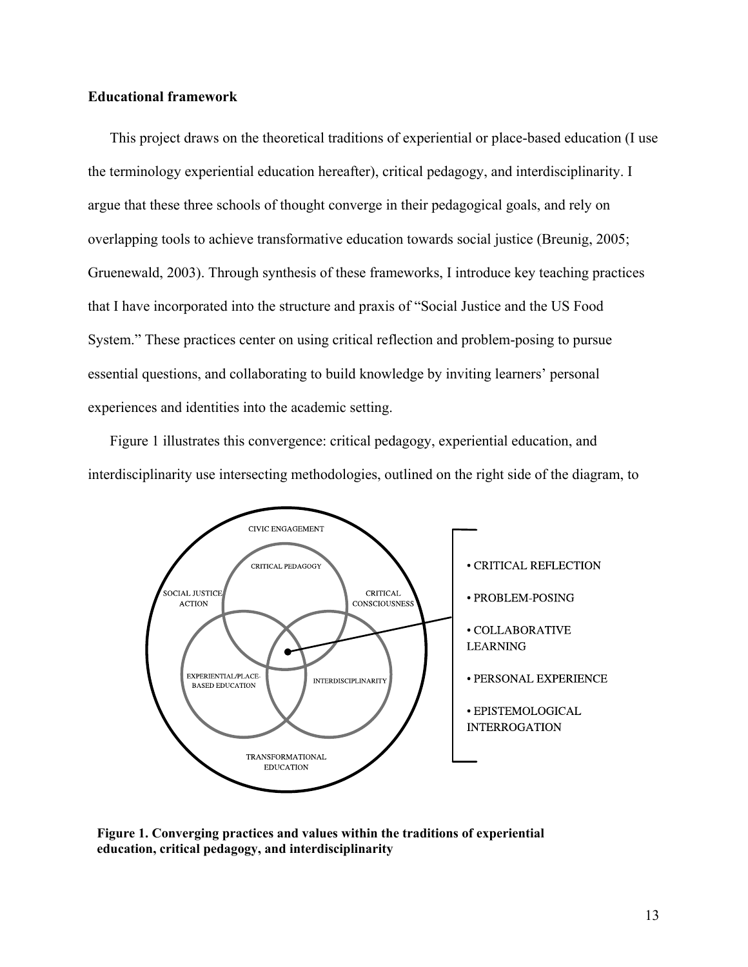#### <span id="page-13-0"></span>**Educational framework**

This project draws on the theoretical traditions of experiential or place-based education (I use the terminology experiential education hereafter), critical pedagogy, and interdisciplinarity. I argue that these three schools of thought converge in their pedagogical goals, and rely on overlapping tools to achieve transformative education towards social justice (Breunig, 2005; Gruenewald, 2003). Through synthesis of these frameworks, I introduce key teaching practices that I have incorporated into the structure and praxis of "Social Justice and the US Food System." These practices center on using critical reflection and problem-posing to pursue essential questions, and collaborating to build knowledge by inviting learners' personal experiences and identities into the academic setting.

Figure 1 illustrates this convergence: critical pedagogy, experiential education, and interdisciplinarity use intersecting methodologies, outlined on the right side of the diagram, to



**Figure 1. Converging practices and values within the traditions of experiential education, critical pedagogy, and interdisciplinarity**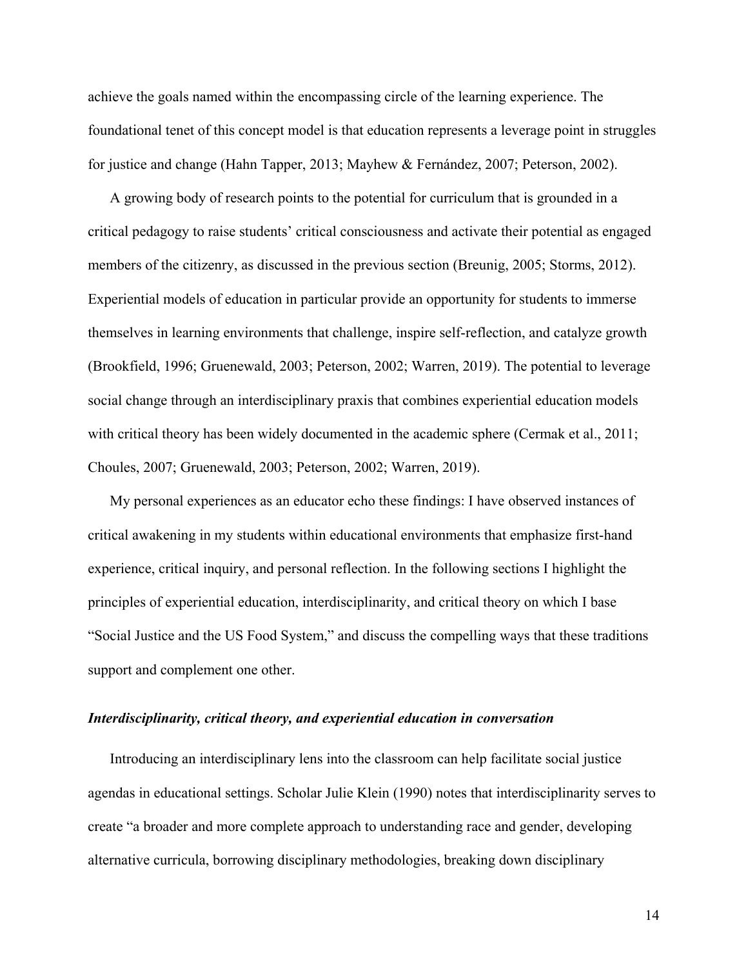achieve the goals named within the encompassing circle of the learning experience. The foundational tenet of this concept model is that education represents a leverage point in struggles for justice and change (Hahn Tapper, 2013; Mayhew & Fernández, 2007; Peterson, 2002).

A growing body of research points to the potential for curriculum that is grounded in a critical pedagogy to raise students' critical consciousness and activate their potential as engaged members of the citizenry, as discussed in the previous section (Breunig, 2005; Storms, 2012). Experiential models of education in particular provide an opportunity for students to immerse themselves in learning environments that challenge, inspire self-reflection, and catalyze growth (Brookfield, 1996; Gruenewald, 2003; Peterson, 2002; Warren, 2019). The potential to leverage social change through an interdisciplinary praxis that combines experiential education models with critical theory has been widely documented in the academic sphere (Cermak et al., 2011; Choules, 2007; Gruenewald, 2003; Peterson, 2002; Warren, 2019).

My personal experiences as an educator echo these findings: I have observed instances of critical awakening in my students within educational environments that emphasize first-hand experience, critical inquiry, and personal reflection. In the following sections I highlight the principles of experiential education, interdisciplinarity, and critical theory on which I base "Social Justice and the US Food System," and discuss the compelling ways that these traditions support and complement one other.

#### <span id="page-14-0"></span>*Interdisciplinarity, critical theory, and experiential education in conversation*

Introducing an interdisciplinary lens into the classroom can help facilitate social justice agendas in educational settings. Scholar Julie Klein (1990) notes that interdisciplinarity serves to create "a broader and more complete approach to understanding race and gender, developing alternative curricula, borrowing disciplinary methodologies, breaking down disciplinary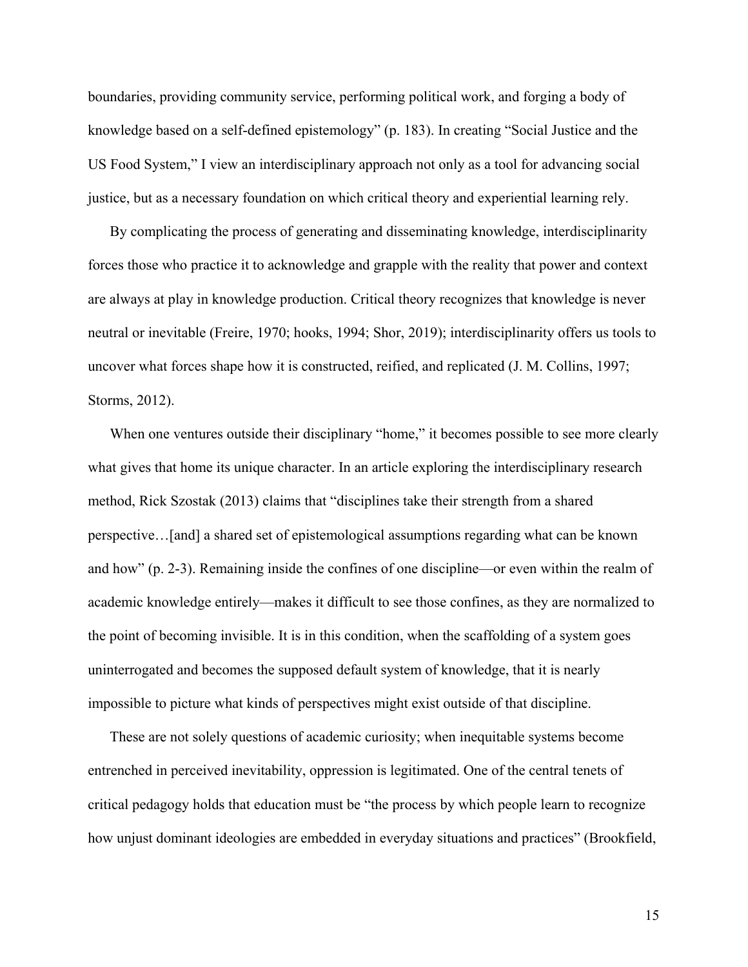boundaries, providing community service, performing political work, and forging a body of knowledge based on a self-defined epistemology" (p. 183). In creating "Social Justice and the US Food System," I view an interdisciplinary approach not only as a tool for advancing social justice, but as a necessary foundation on which critical theory and experiential learning rely.

By complicating the process of generating and disseminating knowledge, interdisciplinarity forces those who practice it to acknowledge and grapple with the reality that power and context are always at play in knowledge production. Critical theory recognizes that knowledge is never neutral or inevitable (Freire, 1970; hooks, 1994; Shor, 2019); interdisciplinarity offers us tools to uncover what forces shape how it is constructed, reified, and replicated (J. M. Collins, 1997; Storms, 2012).

When one ventures outside their disciplinary "home," it becomes possible to see more clearly what gives that home its unique character. In an article exploring the interdisciplinary research method, Rick Szostak (2013) claims that "disciplines take their strength from a shared perspective…[and] a shared set of epistemological assumptions regarding what can be known and how" (p. 2-3). Remaining inside the confines of one discipline—or even within the realm of academic knowledge entirely—makes it difficult to see those confines, as they are normalized to the point of becoming invisible. It is in this condition, when the scaffolding of a system goes uninterrogated and becomes the supposed default system of knowledge, that it is nearly impossible to picture what kinds of perspectives might exist outside of that discipline.

These are not solely questions of academic curiosity; when inequitable systems become entrenched in perceived inevitability, oppression is legitimated. One of the central tenets of critical pedagogy holds that education must be "the process by which people learn to recognize how unjust dominant ideologies are embedded in everyday situations and practices" (Brookfield,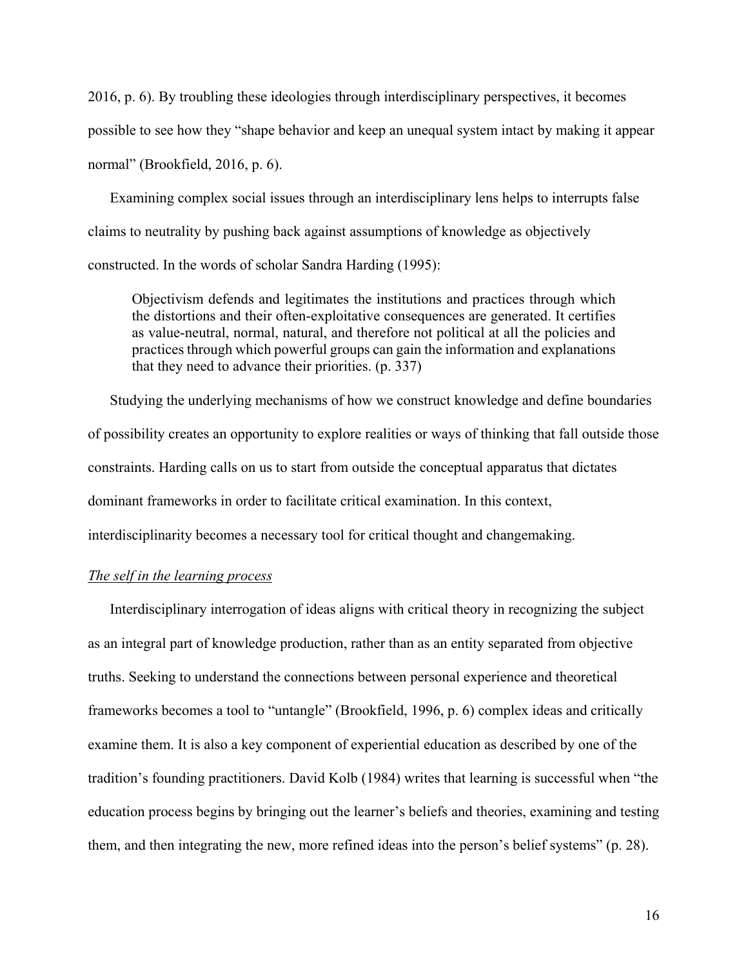2016, p. 6). By troubling these ideologies through interdisciplinary perspectives, it becomes possible to see how they "shape behavior and keep an unequal system intact by making it appear normal" (Brookfield, 2016, p. 6).

Examining complex social issues through an interdisciplinary lens helps to interrupts false claims to neutrality by pushing back against assumptions of knowledge as objectively constructed. In the words of scholar Sandra Harding (1995):

Objectivism defends and legitimates the institutions and practices through which the distortions and their often-exploitative consequences are generated. It certifies as value-neutral, normal, natural, and therefore not political at all the policies and practices through which powerful groups can gain the information and explanations that they need to advance their priorities. (p. 337)

Studying the underlying mechanisms of how we construct knowledge and define boundaries of possibility creates an opportunity to explore realities or ways of thinking that fall outside those constraints. Harding calls on us to start from outside the conceptual apparatus that dictates dominant frameworks in order to facilitate critical examination. In this context, interdisciplinarity becomes a necessary tool for critical thought and changemaking.

#### *The self in the learning process*

Interdisciplinary interrogation of ideas aligns with critical theory in recognizing the subject as an integral part of knowledge production, rather than as an entity separated from objective truths. Seeking to understand the connections between personal experience and theoretical frameworks becomes a tool to "untangle" (Brookfield, 1996, p. 6) complex ideas and critically examine them. It is also a key component of experiential education as described by one of the tradition's founding practitioners. David Kolb (1984) writes that learning is successful when "the education process begins by bringing out the learner's beliefs and theories, examining and testing them, and then integrating the new, more refined ideas into the person's belief systems" (p. 28).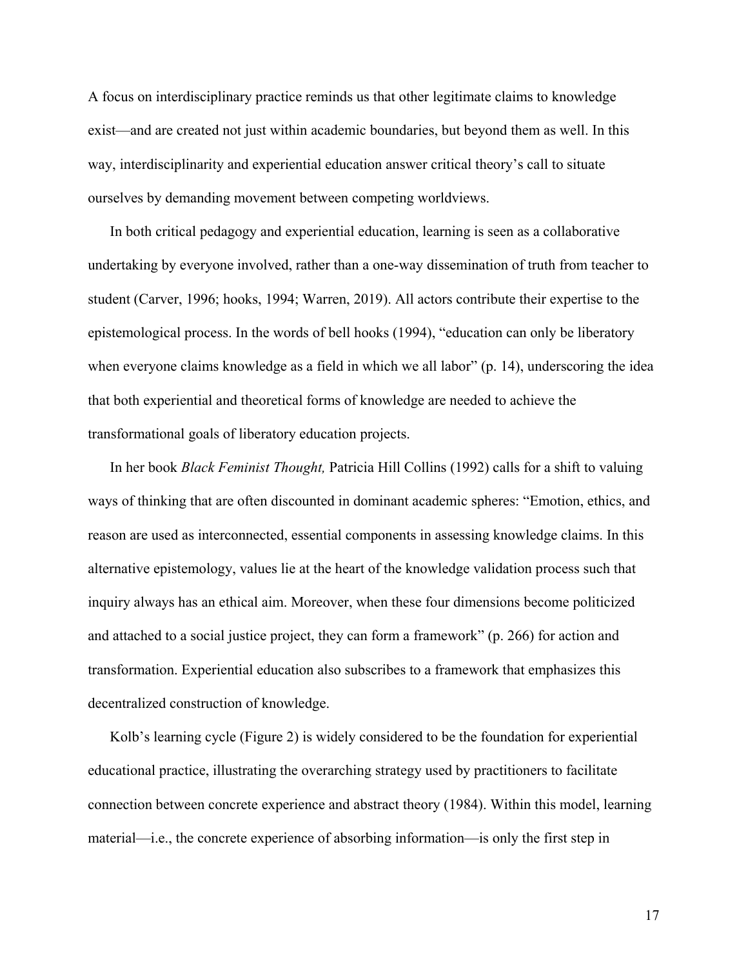A focus on interdisciplinary practice reminds us that other legitimate claims to knowledge exist—and are created not just within academic boundaries, but beyond them as well. In this way, interdisciplinarity and experiential education answer critical theory's call to situate ourselves by demanding movement between competing worldviews.

In both critical pedagogy and experiential education, learning is seen as a collaborative undertaking by everyone involved, rather than a one-way dissemination of truth from teacher to student (Carver, 1996; hooks, 1994; Warren, 2019). All actors contribute their expertise to the epistemological process. In the words of bell hooks (1994), "education can only be liberatory when everyone claims knowledge as a field in which we all labor" (p. 14), underscoring the idea that both experiential and theoretical forms of knowledge are needed to achieve the transformational goals of liberatory education projects.

In her book *Black Feminist Thought,* Patricia Hill Collins (1992) calls for a shift to valuing ways of thinking that are often discounted in dominant academic spheres: "Emotion, ethics, and reason are used as interconnected, essential components in assessing knowledge claims. In this alternative epistemology, values lie at the heart of the knowledge validation process such that inquiry always has an ethical aim. Moreover, when these four dimensions become politicized and attached to a social justice project, they can form a framework" (p. 266) for action and transformation. Experiential education also subscribes to a framework that emphasizes this decentralized construction of knowledge.

Kolb's learning cycle (Figure 2) is widely considered to be the foundation for experiential educational practice, illustrating the overarching strategy used by practitioners to facilitate connection between concrete experience and abstract theory (1984). Within this model, learning material—i.e., the concrete experience of absorbing information—is only the first step in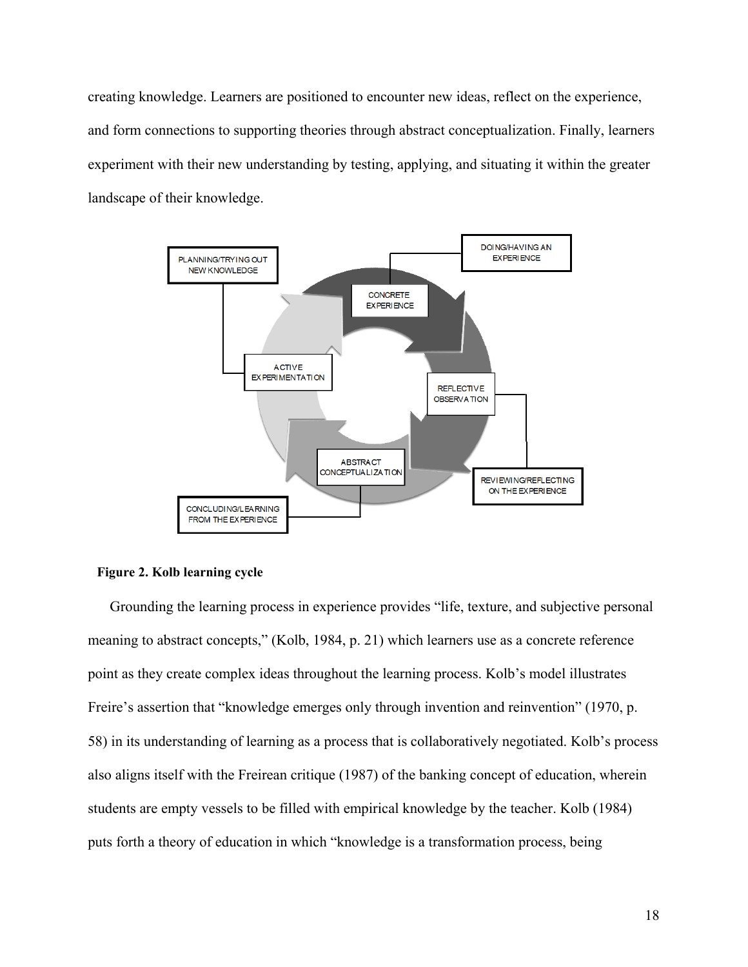creating knowledge. Learners are positioned to encounter new ideas, reflect on the experience, and form connections to supporting theories through abstract conceptualization. Finally, learners experiment with their new understanding by testing, applying, and situating it within the greater landscape of their knowledge.



#### **Figure 2. Kolb learning cycle**

Grounding the learning process in experience provides "life, texture, and subjective personal meaning to abstract concepts," (Kolb, 1984, p. 21) which learners use as a concrete reference point as they create complex ideas throughout the learning process. Kolb's model illustrates Freire's assertion that "knowledge emerges only through invention and reinvention" (1970, p. 58) in its understanding of learning as a process that is collaboratively negotiated. Kolb's process also aligns itself with the Freirean critique (1987) of the banking concept of education, wherein students are empty vessels to be filled with empirical knowledge by the teacher. Kolb (1984) puts forth a theory of education in which "knowledge is a transformation process, being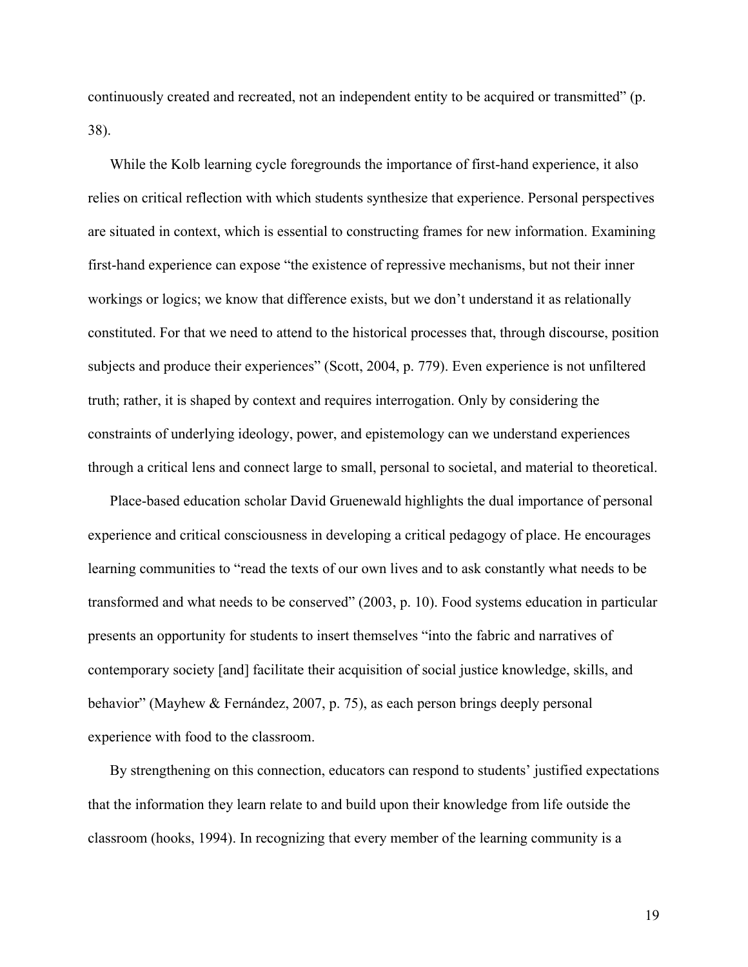continuously created and recreated, not an independent entity to be acquired or transmitted" (p. 38).

While the Kolb learning cycle foregrounds the importance of first-hand experience, it also relies on critical reflection with which students synthesize that experience. Personal perspectives are situated in context, which is essential to constructing frames for new information. Examining first-hand experience can expose "the existence of repressive mechanisms, but not their inner workings or logics; we know that difference exists, but we don't understand it as relationally constituted. For that we need to attend to the historical processes that, through discourse, position subjects and produce their experiences" (Scott, 2004, p. 779). Even experience is not unfiltered truth; rather, it is shaped by context and requires interrogation. Only by considering the constraints of underlying ideology, power, and epistemology can we understand experiences through a critical lens and connect large to small, personal to societal, and material to theoretical.

Place-based education scholar David Gruenewald highlights the dual importance of personal experience and critical consciousness in developing a critical pedagogy of place. He encourages learning communities to "read the texts of our own lives and to ask constantly what needs to be transformed and what needs to be conserved" (2003, p. 10). Food systems education in particular presents an opportunity for students to insert themselves "into the fabric and narratives of contemporary society [and] facilitate their acquisition of social justice knowledge, skills, and behavior" (Mayhew & Fernández, 2007, p. 75), as each person brings deeply personal experience with food to the classroom.

By strengthening on this connection, educators can respond to students' justified expectations that the information they learn relate to and build upon their knowledge from life outside the classroom (hooks, 1994). In recognizing that every member of the learning community is a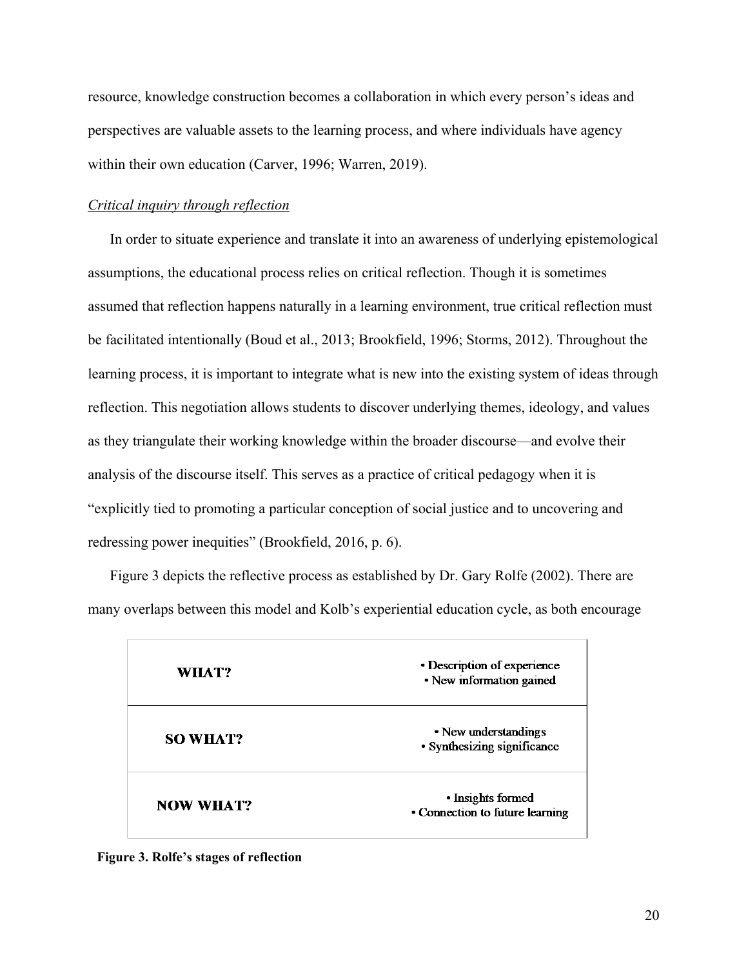resource, knowledge construction becomes a collaboration in which every person's ideas and perspectives are valuable assets to the learning process, and where individuals have agency within their own education (Carver, 1996; Warren, 2019).

#### *Critical inquiry through reflection*

In order to situate experience and translate it into an awareness of underlying epistemological assumptions, the educational process relies on critical reflection. Though it is sometimes assumed that reflection happens naturally in a learning environment, true critical reflection must be facilitated intentionally (Boud et al., 2013; Brookfield, 1996; Storms, 2012). Throughout the learning process, it is important to integrate what is new into the existing system of ideas through reflection. This negotiation allows students to discover underlying themes, ideology, and values as they triangulate their working knowledge within the broader discourse—and evolve their analysis of the discourse itself. This serves as a practice of critical pedagogy when it is "explicitly tied to promoting a particular conception of social justice and to uncovering and redressing power inequities" (Brookfield, 2016, p. 6).

Figure 3 depicts the reflective process as established by Dr. Gary Rolfe (2002). There are many overlaps between this model and Kolb's experiential education cycle, as both encourage

| WHAT?            | • Description of experience<br>• New information gained |
|------------------|---------------------------------------------------------|
| <b>SO WHAT?</b>  | • New understandings<br>• Synthesizing significance     |
| <b>NOW WHAT?</b> | • Insights formed<br>• Connection to future learning    |

**Figure 3. Rolfe's stages of reflection**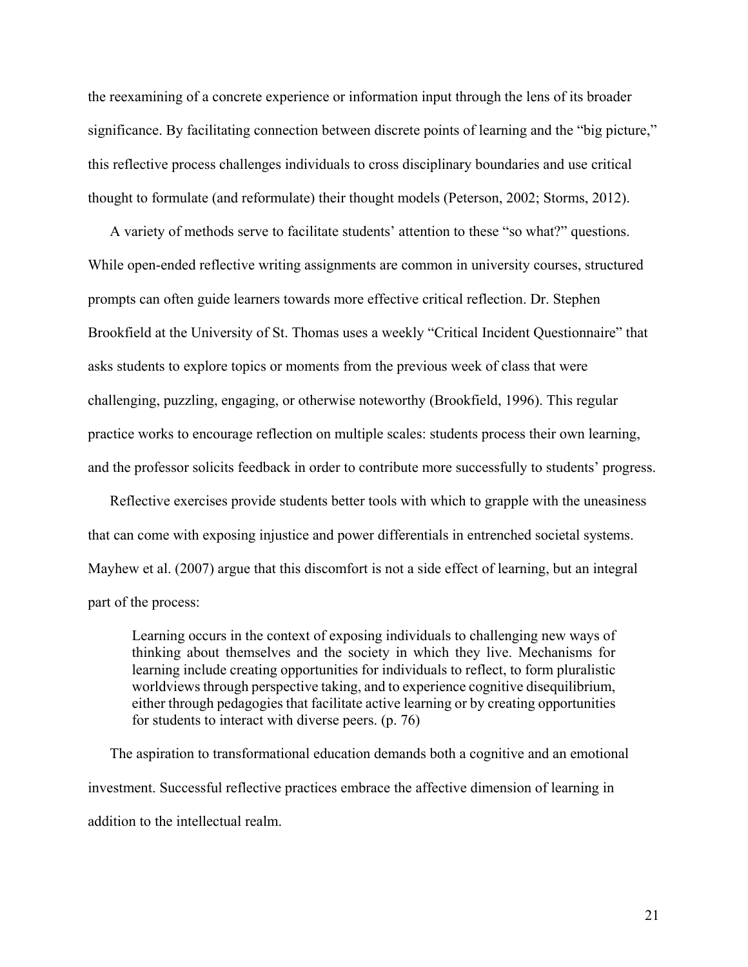the reexamining of a concrete experience or information input through the lens of its broader significance. By facilitating connection between discrete points of learning and the "big picture," this reflective process challenges individuals to cross disciplinary boundaries and use critical thought to formulate (and reformulate) their thought models (Peterson, 2002; Storms, 2012).

A variety of methods serve to facilitate students' attention to these "so what?" questions. While open-ended reflective writing assignments are common in university courses, structured prompts can often guide learners towards more effective critical reflection. Dr. Stephen Brookfield at the University of St. Thomas uses a weekly "Critical Incident Questionnaire" that asks students to explore topics or moments from the previous week of class that were challenging, puzzling, engaging, or otherwise noteworthy (Brookfield, 1996). This regular practice works to encourage reflection on multiple scales: students process their own learning, and the professor solicits feedback in order to contribute more successfully to students' progress.

Reflective exercises provide students better tools with which to grapple with the uneasiness that can come with exposing injustice and power differentials in entrenched societal systems. Mayhew et al. (2007) argue that this discomfort is not a side effect of learning, but an integral part of the process:

Learning occurs in the context of exposing individuals to challenging new ways of thinking about themselves and the society in which they live. Mechanisms for learning include creating opportunities for individuals to reflect, to form pluralistic worldviews through perspective taking, and to experience cognitive disequilibrium, either through pedagogies that facilitate active learning or by creating opportunities for students to interact with diverse peers. (p. 76)

The aspiration to transformational education demands both a cognitive and an emotional investment. Successful reflective practices embrace the affective dimension of learning in addition to the intellectual realm.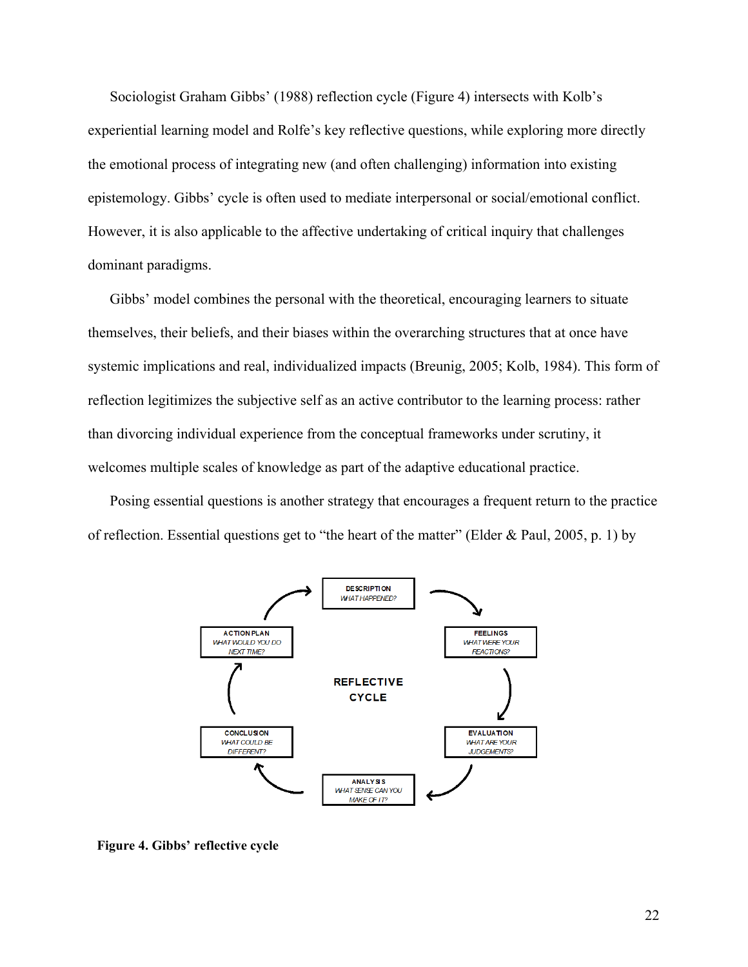Sociologist Graham Gibbs' (1988) reflection cycle (Figure 4) intersects with Kolb's experiential learning model and Rolfe's key reflective questions, while exploring more directly the emotional process of integrating new (and often challenging) information into existing epistemology. Gibbs' cycle is often used to mediate interpersonal or social/emotional conflict. However, it is also applicable to the affective undertaking of critical inquiry that challenges dominant paradigms.

Gibbs' model combines the personal with the theoretical, encouraging learners to situate themselves, their beliefs, and their biases within the overarching structures that at once have systemic implications and real, individualized impacts (Breunig, 2005; Kolb, 1984). This form of reflection legitimizes the subjective self as an active contributor to the learning process: rather than divorcing individual experience from the conceptual frameworks under scrutiny, it welcomes multiple scales of knowledge as part of the adaptive educational practice.

Posing essential questions is another strategy that encourages a frequent return to the practice of reflection. Essential questions get to "the heart of the matter" (Elder & Paul, 2005, p. 1) by



**Figure 4. Gibbs' reflective cycle**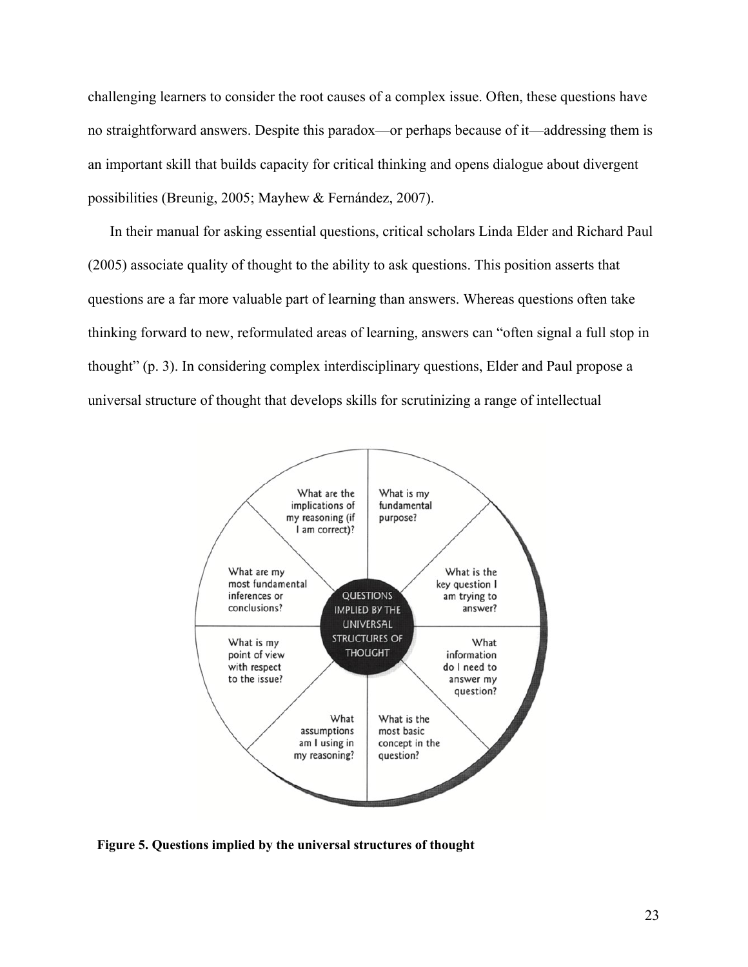challenging learners to consider the root causes of a complex issue. Often, these questions have no straightforward answers. Despite this paradox—or perhaps because of it—addressing them is an important skill that builds capacity for critical thinking and opens dialogue about divergent possibilities (Breunig, 2005; Mayhew & Fernández, 2007).

In their manual for asking essential questions, critical scholars Linda Elder and Richard Paul (2005) associate quality of thought to the ability to ask questions. This position asserts that questions are a far more valuable part of learning than answers. Whereas questions often take thinking forward to new, reformulated areas of learning, answers can "often signal a full stop in thought" (p. 3). In considering complex interdisciplinary questions, Elder and Paul propose a universal structure of thought that develops skills for scrutinizing a range of intellectual



**Figure 5. Questions implied by the universal structures of thought**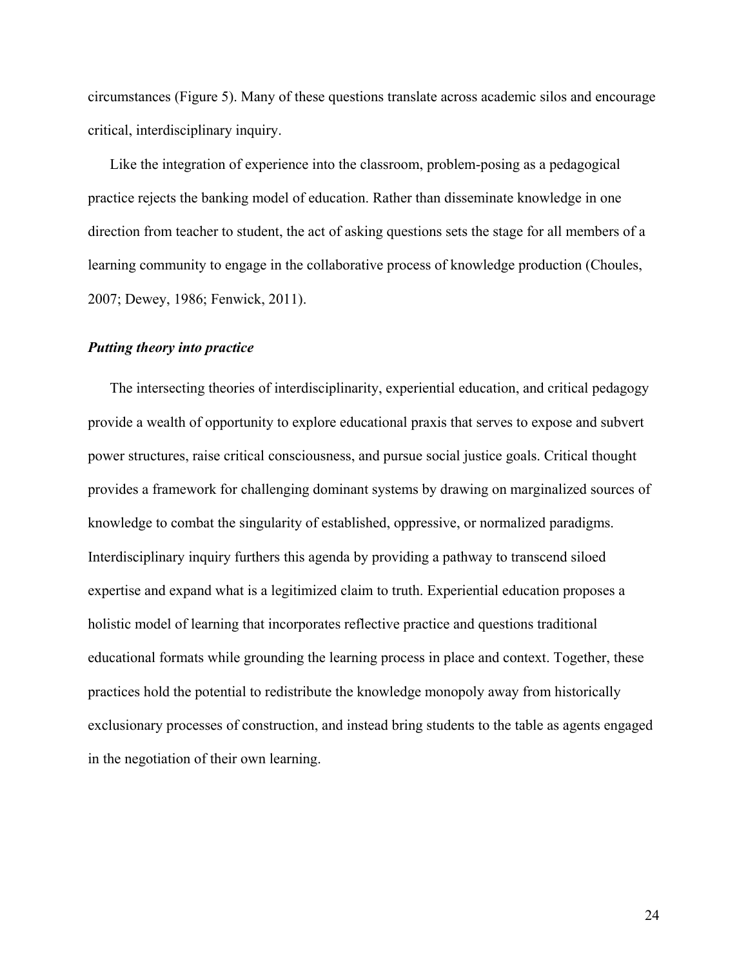circumstances (Figure 5). Many of these questions translate across academic silos and encourage critical, interdisciplinary inquiry.

Like the integration of experience into the classroom, problem-posing as a pedagogical practice rejects the banking model of education. Rather than disseminate knowledge in one direction from teacher to student, the act of asking questions sets the stage for all members of a learning community to engage in the collaborative process of knowledge production (Choules, 2007; Dewey, 1986; Fenwick, 2011).

#### <span id="page-24-0"></span>*Putting theory into practice*

<span id="page-24-1"></span>The intersecting theories of interdisciplinarity, experiential education, and critical pedagogy provide a wealth of opportunity to explore educational praxis that serves to expose and subvert power structures, raise critical consciousness, and pursue social justice goals. Critical thought provides a framework for challenging dominant systems by drawing on marginalized sources of knowledge to combat the singularity of established, oppressive, or normalized paradigms. Interdisciplinary inquiry furthers this agenda by providing a pathway to transcend siloed expertise and expand what is a legitimized claim to truth. Experiential education proposes a holistic model of learning that incorporates reflective practice and questions traditional educational formats while grounding the learning process in place and context. Together, these practices hold the potential to redistribute the knowledge monopoly away from historically exclusionary processes of construction, and instead bring students to the table as agents engaged in the negotiation of their own learning.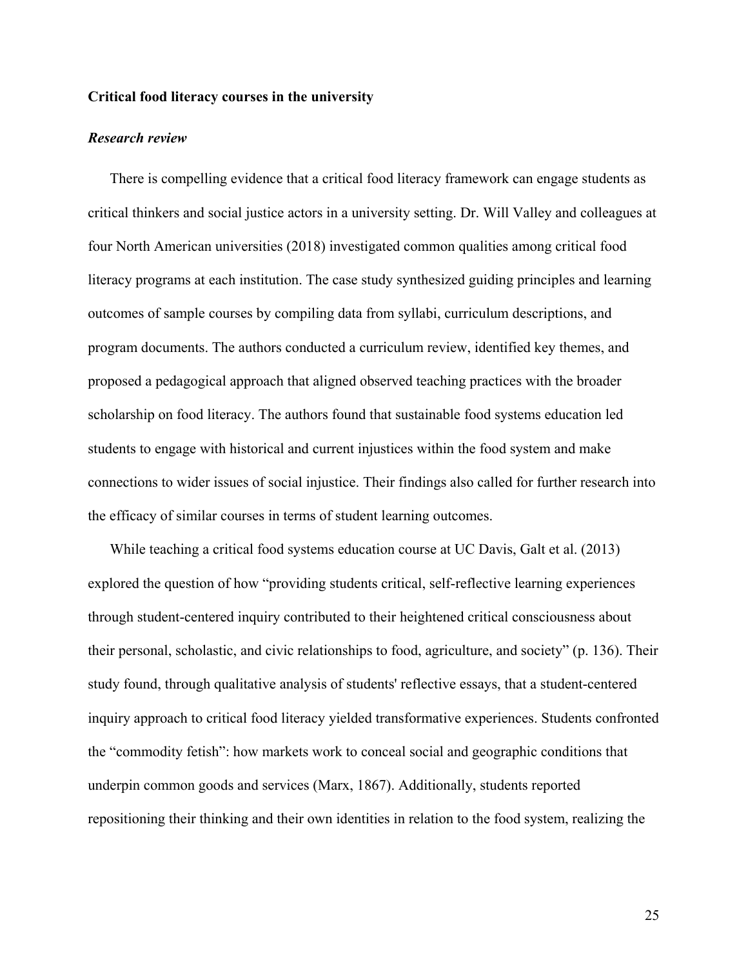#### **Critical food literacy courses in the university**

#### <span id="page-25-0"></span>*Research review*

There is compelling evidence that a critical food literacy framework can engage students as critical thinkers and social justice actors in a university setting. Dr. Will Valley and colleagues at four North American universities (2018) investigated common qualities among critical food literacy programs at each institution. The case study synthesized guiding principles and learning outcomes of sample courses by compiling data from syllabi, curriculum descriptions, and program documents. The authors conducted a curriculum review, identified key themes, and proposed a pedagogical approach that aligned observed teaching practices with the broader scholarship on food literacy. The authors found that sustainable food systems education led students to engage with historical and current injustices within the food system and make connections to wider issues of social injustice. Their findings also called for further research into the efficacy of similar courses in terms of student learning outcomes.

While teaching a critical food systems education course at UC Davis, Galt et al. (2013) explored the question of how "providing students critical, self-reflective learning experiences through student-centered inquiry contributed to their heightened critical consciousness about their personal, scholastic, and civic relationships to food, agriculture, and society" (p. 136). Their study found, through qualitative analysis of students' reflective essays, that a student-centered inquiry approach to critical food literacy yielded transformative experiences. Students confronted the "commodity fetish": how markets work to conceal social and geographic conditions that underpin common goods and services (Marx, 1867). Additionally, students reported repositioning their thinking and their own identities in relation to the food system, realizing the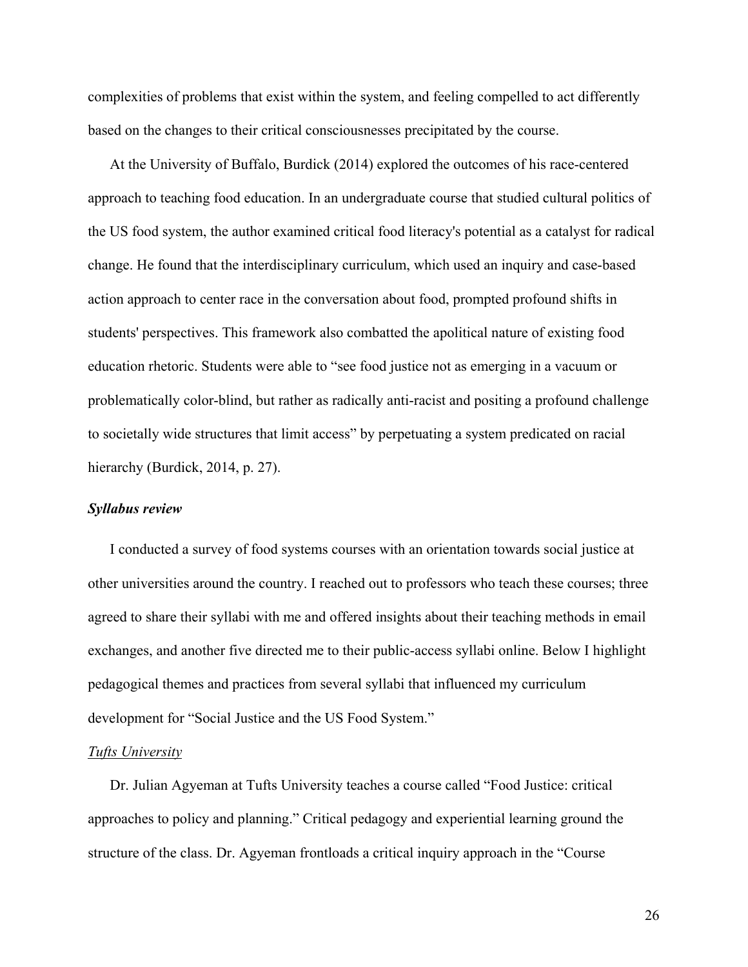complexities of problems that exist within the system, and feeling compelled to act differently based on the changes to their critical consciousnesses precipitated by the course.

At the University of Buffalo, Burdick (2014) explored the outcomes of his race-centered approach to teaching food education. In an undergraduate course that studied cultural politics of the US food system, the author examined critical food literacy's potential as a catalyst for radical change. He found that the interdisciplinary curriculum, which used an inquiry and case-based action approach to center race in the conversation about food, prompted profound shifts in students' perspectives. This framework also combatted the apolitical nature of existing food education rhetoric. Students were able to "see food justice not as emerging in a vacuum or problematically color-blind, but rather as radically anti-racist and positing a profound challenge to societally wide structures that limit access" by perpetuating a system predicated on racial hierarchy (Burdick, 2014, p. 27).

#### <span id="page-26-0"></span>*Syllabus review*

I conducted a survey of food systems courses with an orientation towards social justice at other universities around the country. I reached out to professors who teach these courses; three agreed to share their syllabi with me and offered insights about their teaching methods in email exchanges, and another five directed me to their public-access syllabi online. Below I highlight pedagogical themes and practices from several syllabi that influenced my curriculum development for "Social Justice and the US Food System."

#### *Tufts University*

Dr. Julian Agyeman at Tufts University teaches a course called "Food Justice: critical approaches to policy and planning." Critical pedagogy and experiential learning ground the structure of the class. Dr. Agyeman frontloads a critical inquiry approach in the "Course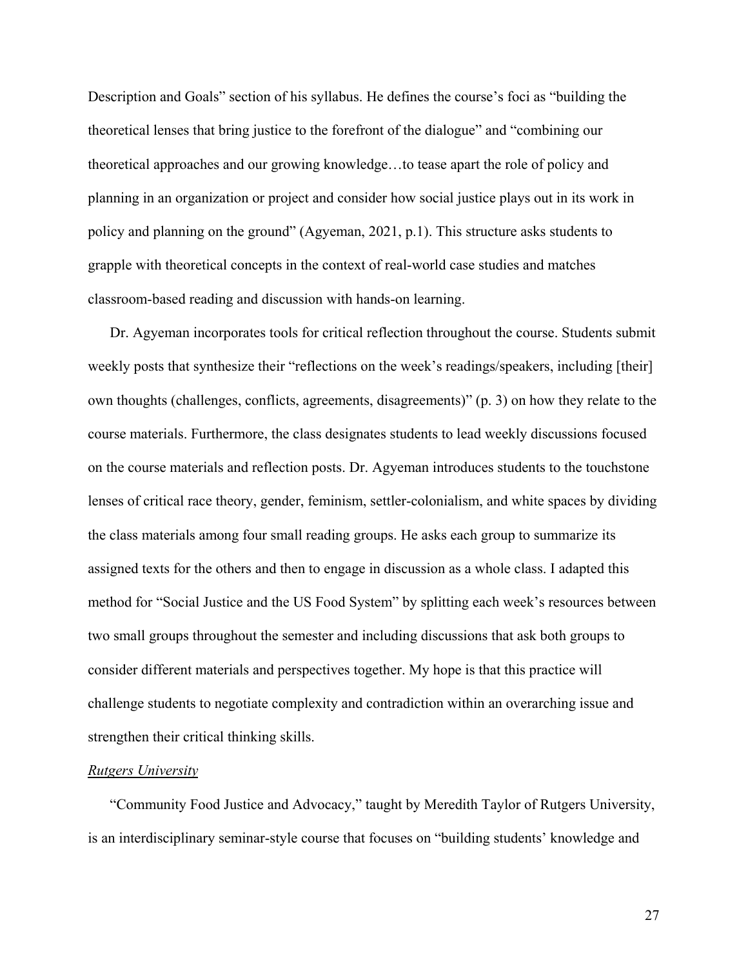Description and Goals" section of his syllabus. He defines the course's foci as "building the theoretical lenses that bring justice to the forefront of the dialogue" and "combining our theoretical approaches and our growing knowledge…to tease apart the role of policy and planning in an organization or project and consider how social justice plays out in its work in policy and planning on the ground" (Agyeman, 2021, p.1). This structure asks students to grapple with theoretical concepts in the context of real-world case studies and matches classroom-based reading and discussion with hands-on learning.

Dr. Agyeman incorporates tools for critical reflection throughout the course. Students submit weekly posts that synthesize their "reflections on the week's readings/speakers, including [their] own thoughts (challenges, conflicts, agreements, disagreements)" (p. 3) on how they relate to the course materials. Furthermore, the class designates students to lead weekly discussions focused on the course materials and reflection posts. Dr. Agyeman introduces students to the touchstone lenses of critical race theory, gender, feminism, settler-colonialism, and white spaces by dividing the class materials among four small reading groups. He asks each group to summarize its assigned texts for the others and then to engage in discussion as a whole class. I adapted this method for "Social Justice and the US Food System" by splitting each week's resources between two small groups throughout the semester and including discussions that ask both groups to consider different materials and perspectives together. My hope is that this practice will challenge students to negotiate complexity and contradiction within an overarching issue and strengthen their critical thinking skills.

#### *Rutgers University*

"Community Food Justice and Advocacy," taught by Meredith Taylor of Rutgers University, is an interdisciplinary seminar-style course that focuses on "building students' knowledge and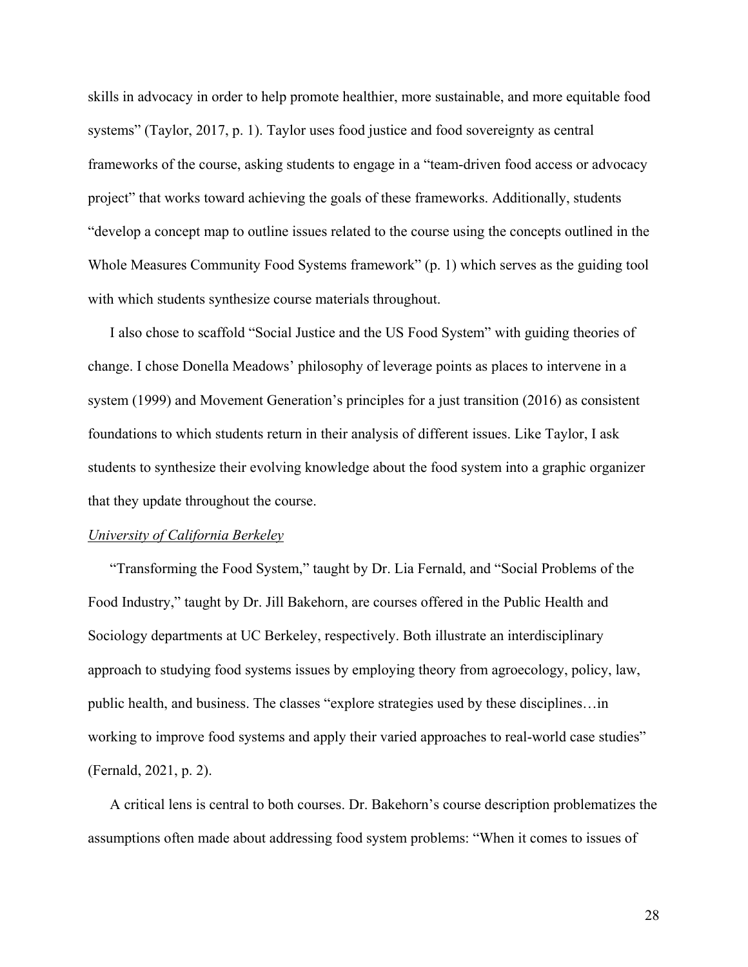skills in advocacy in order to help promote healthier, more sustainable, and more equitable food systems" (Taylor, 2017, p. 1). Taylor uses food justice and food sovereignty as central frameworks of the course, asking students to engage in a "team-driven food access or advocacy project" that works toward achieving the goals of these frameworks. Additionally, students "develop a concept map to outline issues related to the course using the concepts outlined in the Whole Measures Community Food Systems framework" (p. 1) which serves as the guiding tool with which students synthesize course materials throughout.

I also chose to scaffold "Social Justice and the US Food System" with guiding theories of change. I chose Donella Meadows' philosophy of leverage points as places to intervene in a system (1999) and Movement Generation's principles for a just transition (2016) as consistent foundations to which students return in their analysis of different issues. Like Taylor, I ask students to synthesize their evolving knowledge about the food system into a graphic organizer that they update throughout the course.

#### *University of California Berkeley*

"Transforming the Food System," taught by Dr. Lia Fernald, and "Social Problems of the Food Industry," taught by Dr. Jill Bakehorn, are courses offered in the Public Health and Sociology departments at UC Berkeley, respectively. Both illustrate an interdisciplinary approach to studying food systems issues by employing theory from agroecology, policy, law, public health, and business. The classes "explore strategies used by these disciplines…in working to improve food systems and apply their varied approaches to real-world case studies" (Fernald, 2021, p. 2).

A critical lens is central to both courses. Dr. Bakehorn's course description problematizes the assumptions often made about addressing food system problems: "When it comes to issues of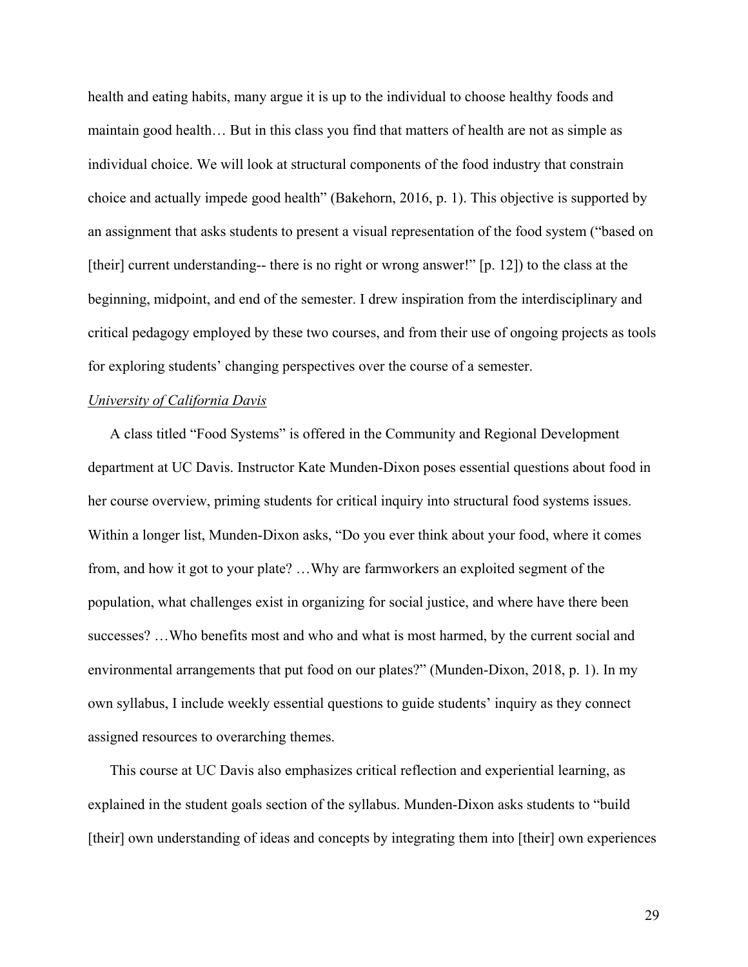health and eating habits, many argue it is up to the individual to choose healthy foods and maintain good health… But in this class you find that matters of health are not as simple as individual choice. We will look at structural components of the food industry that constrain choice and actually impede good health" (Bakehorn, 2016, p. 1). This objective is supported by an assignment that asks students to present a visual representation of the food system ("based on [their] current understanding-- there is no right or wrong answer!" [p. 12]) to the class at the beginning, midpoint, and end of the semester. I drew inspiration from the interdisciplinary and critical pedagogy employed by these two courses, and from their use of ongoing projects as tools for exploring students' changing perspectives over the course of a semester.

#### *University of California Davis*

A class titled "Food Systems" is offered in the Community and Regional Development department at UC Davis. Instructor Kate Munden-Dixon poses essential questions about food in her course overview, priming students for critical inquiry into structural food systems issues. Within a longer list, Munden-Dixon asks, "Do you ever think about your food, where it comes from, and how it got to your plate? …Why are farmworkers an exploited segment of the population, what challenges exist in organizing for social justice, and where have there been successes? …Who benefits most and who and what is most harmed, by the current social and environmental arrangements that put food on our plates?" (Munden-Dixon, 2018, p. 1). In my own syllabus, I include weekly essential questions to guide students' inquiry as they connect assigned resources to overarching themes.

This course at UC Davis also emphasizes critical reflection and experiential learning, as explained in the student goals section of the syllabus. Munden-Dixon asks students to "build [their] own understanding of ideas and concepts by integrating them into [their] own experiences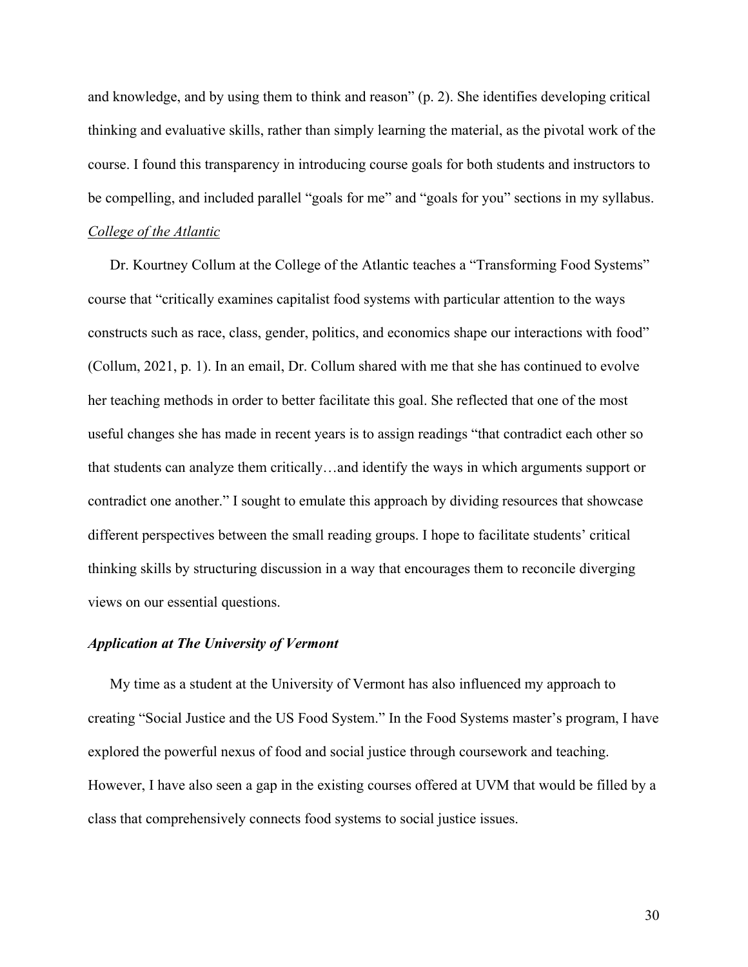and knowledge, and by using them to think and reason" (p. 2). She identifies developing critical thinking and evaluative skills, rather than simply learning the material, as the pivotal work of the course. I found this transparency in introducing course goals for both students and instructors to be compelling, and included parallel "goals for me" and "goals for you" sections in my syllabus.

#### *College of the Atlantic*

Dr. Kourtney Collum at the College of the Atlantic teaches a "Transforming Food Systems" course that "critically examines capitalist food systems with particular attention to the ways constructs such as race, class, gender, politics, and economics shape our interactions with food" (Collum, 2021, p. 1). In an email, Dr. Collum shared with me that she has continued to evolve her teaching methods in order to better facilitate this goal. She reflected that one of the most useful changes she has made in recent years is to assign readings "that contradict each other so that students can analyze them critically…and identify the ways in which arguments support or contradict one another." I sought to emulate this approach by dividing resources that showcase different perspectives between the small reading groups. I hope to facilitate students' critical thinking skills by structuring discussion in a way that encourages them to reconcile diverging views on our essential questions.

#### <span id="page-30-0"></span>*Application at The University of Vermont*

My time as a student at the University of Vermont has also influenced my approach to creating "Social Justice and the US Food System." In the Food Systems master's program, I have explored the powerful nexus of food and social justice through coursework and teaching. However, I have also seen a gap in the existing courses offered at UVM that would be filled by a class that comprehensively connects food systems to social justice issues.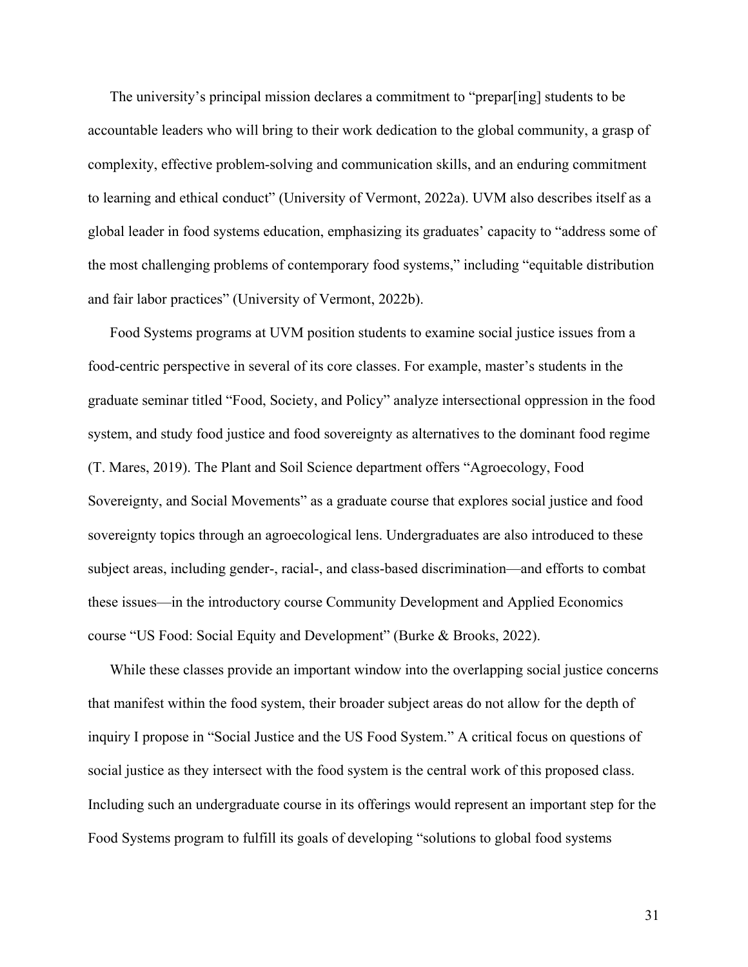The university's principal mission declares a commitment to "prepar[ing] students to be accountable leaders who will bring to their work dedication to the global community, a grasp of complexity, effective problem-solving and communication skills, and an enduring commitment to learning and ethical conduct" (University of Vermont, 2022a). UVM also describes itself as a global leader in food systems education, emphasizing its graduates' capacity to "address some of the most challenging problems of contemporary food systems," including "equitable distribution and fair labor practices" (University of Vermont, 2022b).

Food Systems programs at UVM position students to examine social justice issues from a food-centric perspective in several of its core classes. For example, master's students in the graduate seminar titled "Food, Society, and Policy" analyze intersectional oppression in the food system, and study food justice and food sovereignty as alternatives to the dominant food regime (T. Mares, 2019). The Plant and Soil Science department offers "Agroecology, Food Sovereignty, and Social Movements" as a graduate course that explores social justice and food sovereignty topics through an agroecological lens. Undergraduates are also introduced to these subject areas, including gender-, racial-, and class-based discrimination—and efforts to combat these issues—in the introductory course Community Development and Applied Economics course "US Food: Social Equity and Development" (Burke & Brooks, 2022).

While these classes provide an important window into the overlapping social justice concerns that manifest within the food system, their broader subject areas do not allow for the depth of inquiry I propose in "Social Justice and the US Food System." A critical focus on questions of social justice as they intersect with the food system is the central work of this proposed class. Including such an undergraduate course in its offerings would represent an important step for the Food Systems program to fulfill its goals of developing "solutions to global food systems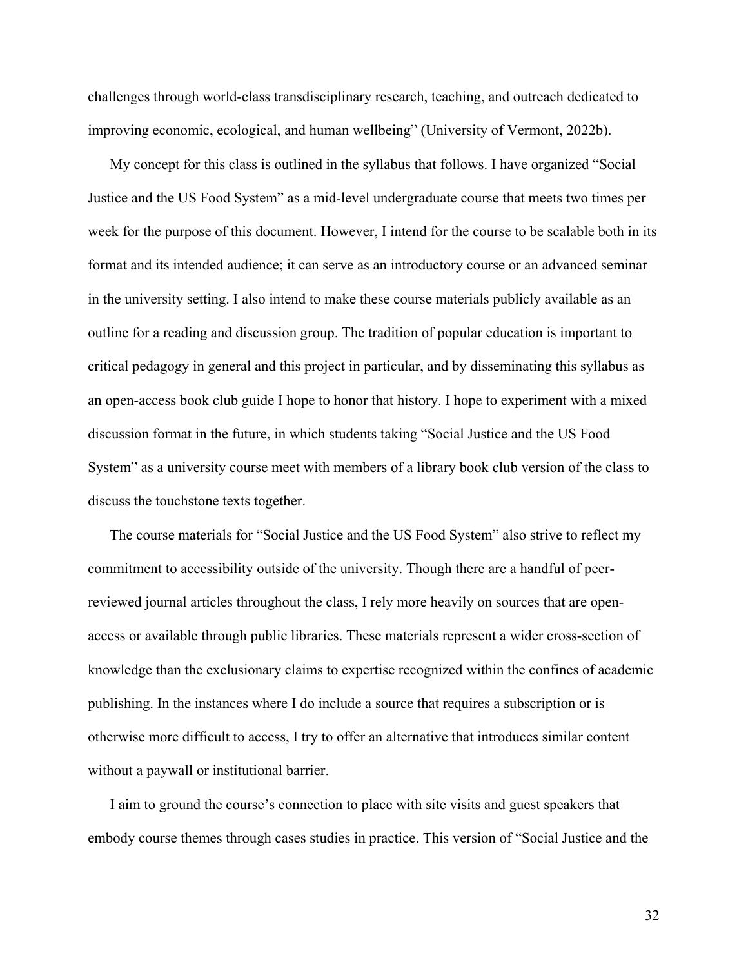challenges through world-class transdisciplinary research, teaching, and outreach dedicated to improving economic, ecological, and human wellbeing" (University of Vermont, 2022b).

My concept for this class is outlined in the syllabus that follows. I have organized "Social Justice and the US Food System" as a mid-level undergraduate course that meets two times per week for the purpose of this document. However, I intend for the course to be scalable both in its format and its intended audience; it can serve as an introductory course or an advanced seminar in the university setting. I also intend to make these course materials publicly available as an outline for a reading and discussion group. The tradition of popular education is important to critical pedagogy in general and this project in particular, and by disseminating this syllabus as an open-access book club guide I hope to honor that history. I hope to experiment with a mixed discussion format in the future, in which students taking "Social Justice and the US Food System" as a university course meet with members of a library book club version of the class to discuss the touchstone texts together.

The course materials for "Social Justice and the US Food System" also strive to reflect my commitment to accessibility outside of the university. Though there are a handful of peerreviewed journal articles throughout the class, I rely more heavily on sources that are openaccess or available through public libraries. These materials represent a wider cross-section of knowledge than the exclusionary claims to expertise recognized within the confines of academic publishing. In the instances where I do include a source that requires a subscription or is otherwise more difficult to access, I try to offer an alternative that introduces similar content without a paywall or institutional barrier.

I aim to ground the course's connection to place with site visits and guest speakers that embody course themes through cases studies in practice. This version of "Social Justice and the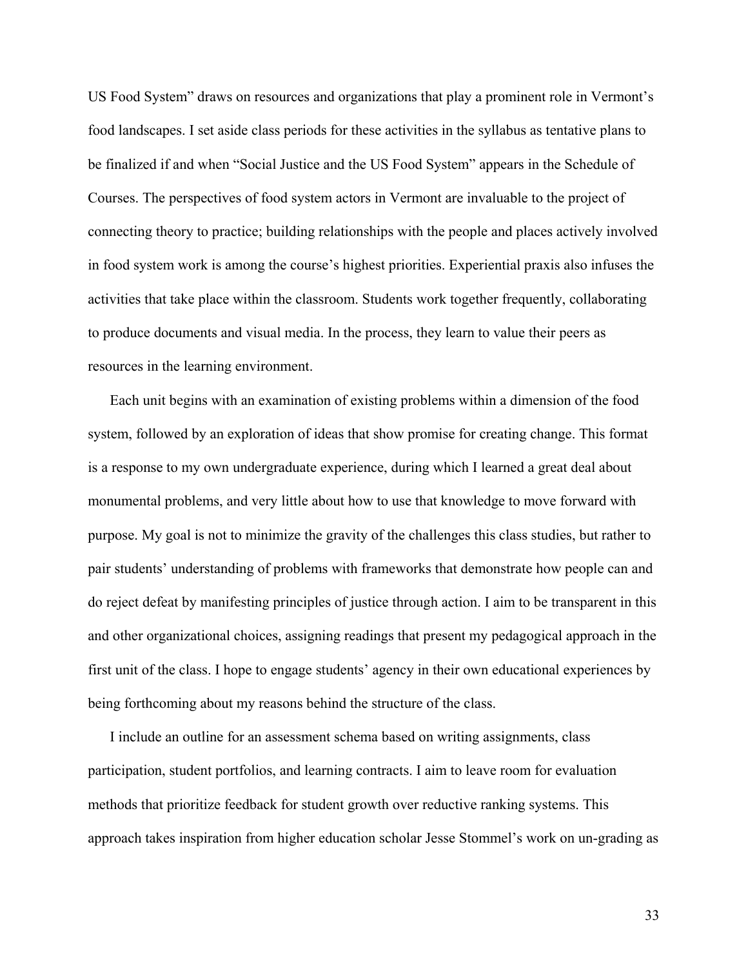US Food System" draws on resources and organizations that play a prominent role in Vermont's food landscapes. I set aside class periods for these activities in the syllabus as tentative plans to be finalized if and when "Social Justice and the US Food System" appears in the Schedule of Courses. The perspectives of food system actors in Vermont are invaluable to the project of connecting theory to practice; building relationships with the people and places actively involved in food system work is among the course's highest priorities. Experiential praxis also infuses the activities that take place within the classroom. Students work together frequently, collaborating to produce documents and visual media. In the process, they learn to value their peers as resources in the learning environment.

Each unit begins with an examination of existing problems within a dimension of the food system, followed by an exploration of ideas that show promise for creating change. This format is a response to my own undergraduate experience, during which I learned a great deal about monumental problems, and very little about how to use that knowledge to move forward with purpose. My goal is not to minimize the gravity of the challenges this class studies, but rather to pair students' understanding of problems with frameworks that demonstrate how people can and do reject defeat by manifesting principles of justice through action. I aim to be transparent in this and other organizational choices, assigning readings that present my pedagogical approach in the first unit of the class. I hope to engage students' agency in their own educational experiences by being forthcoming about my reasons behind the structure of the class.

I include an outline for an assessment schema based on writing assignments, class participation, student portfolios, and learning contracts. I aim to leave room for evaluation methods that prioritize feedback for student growth over reductive ranking systems. This approach takes inspiration from higher education scholar Jesse Stommel's work on un-grading as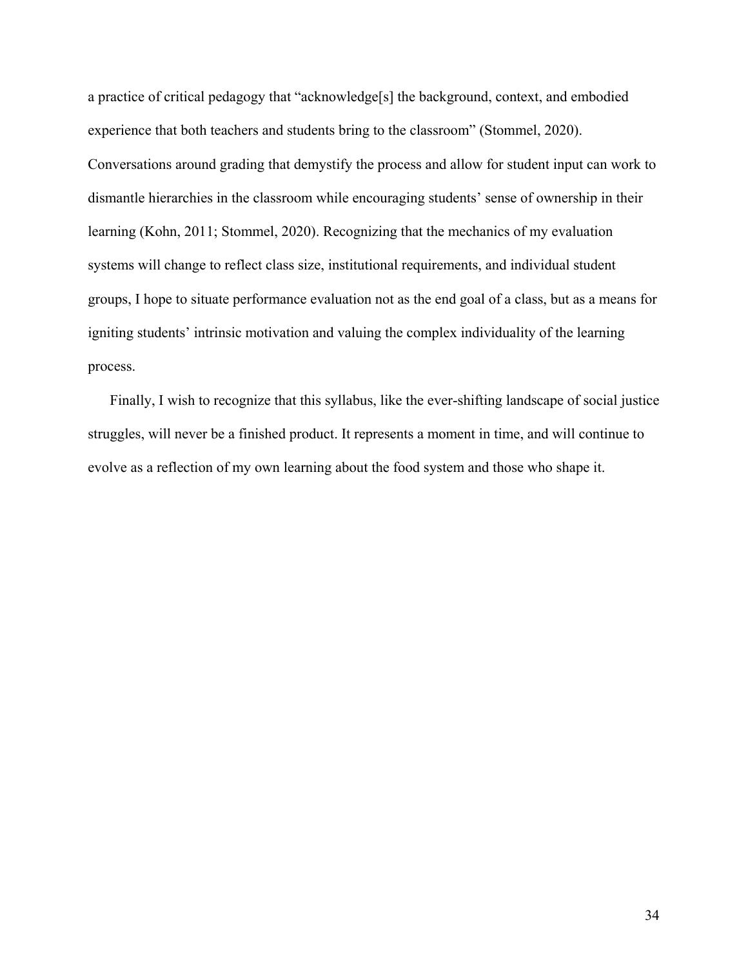a practice of critical pedagogy that "acknowledge[s] the background, context, and embodied experience that both teachers and students bring to the classroom" (Stommel, 2020). Conversations around grading that demystify the process and allow for student input can work to dismantle hierarchies in the classroom while encouraging students' sense of ownership in their learning (Kohn, 2011; Stommel, 2020). Recognizing that the mechanics of my evaluation systems will change to reflect class size, institutional requirements, and individual student groups, I hope to situate performance evaluation not as the end goal of a class, but as a means for igniting students' intrinsic motivation and valuing the complex individuality of the learning process.

<span id="page-34-0"></span>Finally, I wish to recognize that this syllabus, like the ever-shifting landscape of social justice struggles, will never be a finished product. It represents a moment in time, and will continue to evolve as a reflection of my own learning about the food system and those who shape it.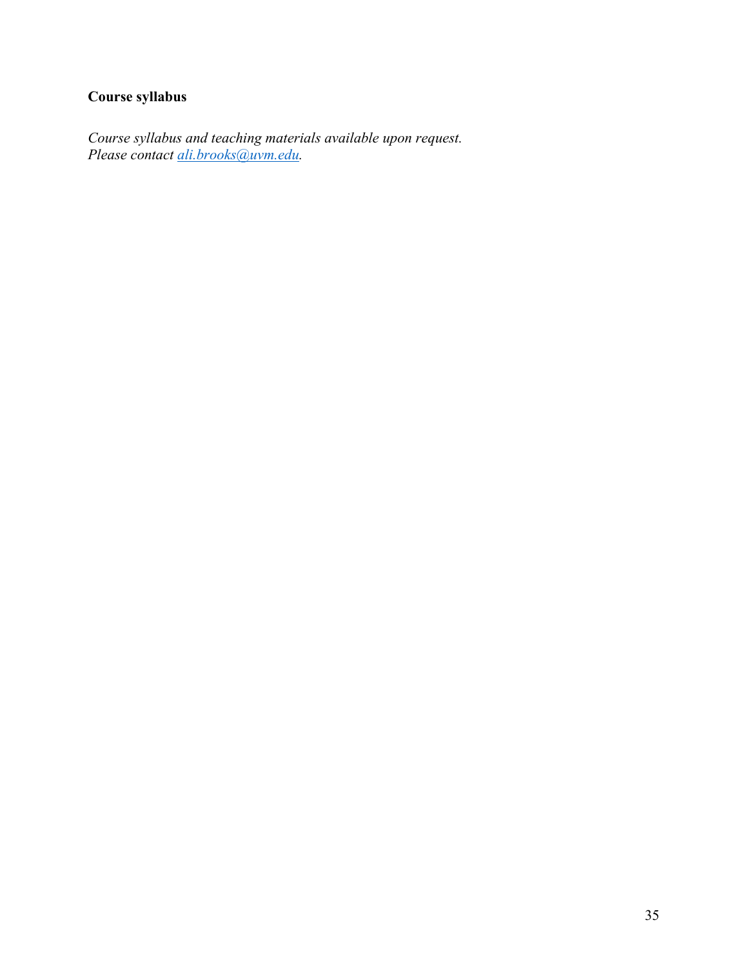# **Course syllabus**

<span id="page-35-0"></span>*Course syllabus and teaching materials available upon request. Please contact [ali.brooks@uvm.edu.](mailto:ali.brooks@uvm.edu)*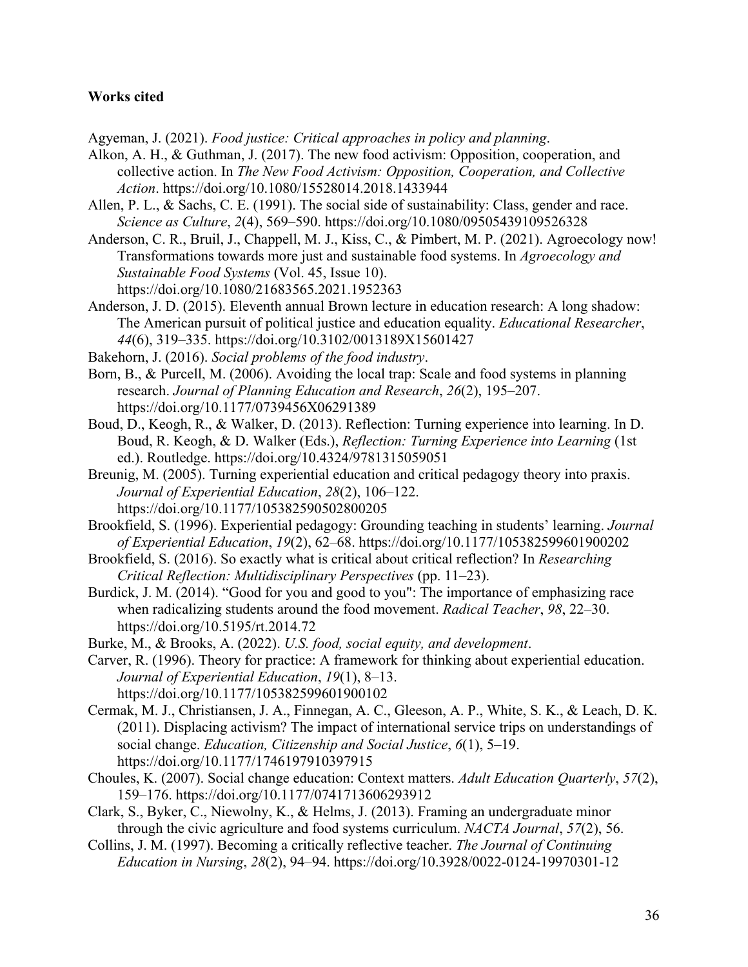#### **Works cited**

Agyeman, J. (2021). *Food justice: Critical approaches in policy and planning*.

- Alkon, A. H., & Guthman, J. (2017). The new food activism: Opposition, cooperation, and collective action. In *The New Food Activism: Opposition, Cooperation, and Collective Action*. https://doi.org/10.1080/15528014.2018.1433944
- Allen, P. L., & Sachs, C. E. (1991). The social side of sustainability: Class, gender and race. *Science as Culture*, *2*(4), 569–590. https://doi.org/10.1080/09505439109526328
- Anderson, C. R., Bruil, J., Chappell, M. J., Kiss, C., & Pimbert, M. P. (2021). Agroecology now! Transformations towards more just and sustainable food systems. In *Agroecology and Sustainable Food Systems* (Vol. 45, Issue 10). https://doi.org/10.1080/21683565.2021.1952363
- Anderson, J. D. (2015). Eleventh annual Brown lecture in education research: A long shadow: The American pursuit of political justice and education equality. *Educational Researcher*, *44*(6), 319–335. https://doi.org/10.3102/0013189X15601427
- Bakehorn, J. (2016). *Social problems of the food industry*.
- Born, B., & Purcell, M. (2006). Avoiding the local trap: Scale and food systems in planning research. *Journal of Planning Education and Research*, *26*(2), 195–207. https://doi.org/10.1177/0739456X06291389
- Boud, D., Keogh, R., & Walker, D. (2013). Reflection: Turning experience into learning. In D. Boud, R. Keogh, & D. Walker (Eds.), *Reflection: Turning Experience into Learning* (1st ed.). Routledge. https://doi.org/10.4324/9781315059051
- Breunig, M. (2005). Turning experiential education and critical pedagogy theory into praxis. *Journal of Experiential Education*, *28*(2), 106–122. https://doi.org/10.1177/105382590502800205
- Brookfield, S. (1996). Experiential pedagogy: Grounding teaching in students' learning. *Journal of Experiential Education*, *19*(2), 62–68. https://doi.org/10.1177/105382599601900202
- Brookfield, S. (2016). So exactly what is critical about critical reflection? In *Researching Critical Reflection: Multidisciplinary Perspectives* (pp. 11–23).
- Burdick, J. M. (2014). "Good for you and good to you": The importance of emphasizing race when radicalizing students around the food movement. *Radical Teacher*, *98*, 22–30. https://doi.org/10.5195/rt.2014.72
- Burke, M., & Brooks, A. (2022). *U.S. food, social equity, and development*.
- Carver, R. (1996). Theory for practice: A framework for thinking about experiential education. *Journal of Experiential Education*, *19*(1), 8–13. https://doi.org/10.1177/105382599601900102
- Cermak, M. J., Christiansen, J. A., Finnegan, A. C., Gleeson, A. P., White, S. K., & Leach, D. K. (2011). Displacing activism? The impact of international service trips on understandings of social change. *Education, Citizenship and Social Justice*, *6*(1), 5–19. https://doi.org/10.1177/1746197910397915
- Choules, K. (2007). Social change education: Context matters. *Adult Education Quarterly*, *57*(2), 159–176. https://doi.org/10.1177/0741713606293912
- Clark, S., Byker, C., Niewolny, K., & Helms, J. (2013). Framing an undergraduate minor through the civic agriculture and food systems curriculum. *NACTA Journal*, *57*(2), 56.
- Collins, J. M. (1997). Becoming a critically reflective teacher. *The Journal of Continuing Education in Nursing*, *28*(2), 94–94. https://doi.org/10.3928/0022-0124-19970301-12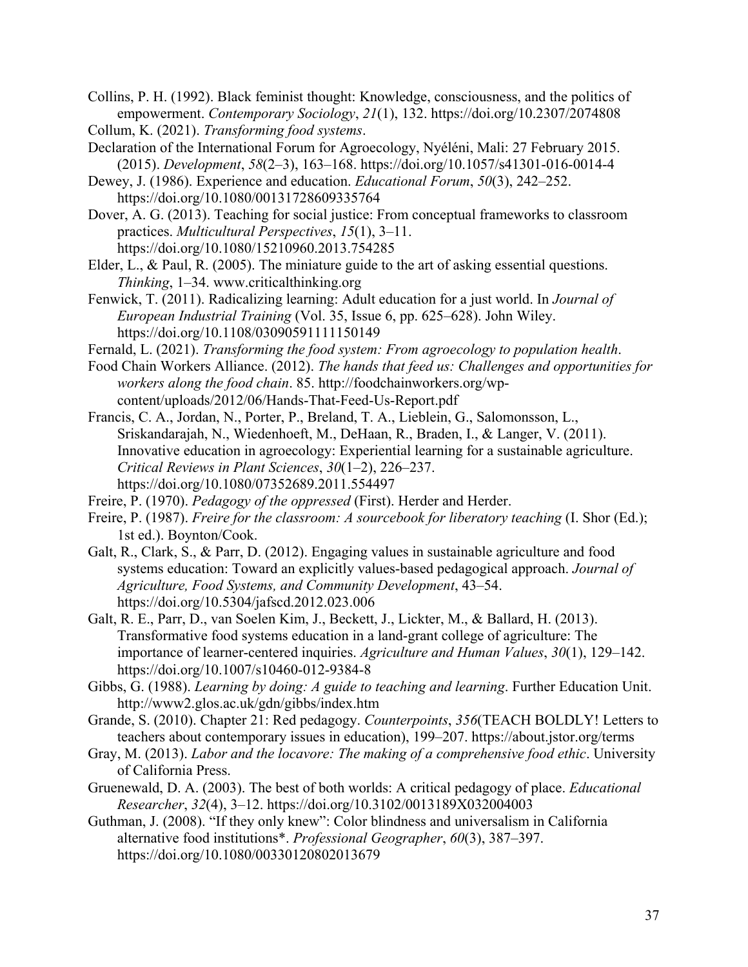Collins, P. H. (1992). Black feminist thought: Knowledge, consciousness, and the politics of empowerment. *Contemporary Sociology*, *21*(1), 132. https://doi.org/10.2307/2074808 Collum, K. (2021). *Transforming food systems*.

Declaration of the International Forum for Agroecology, Nyéléni, Mali: 27 February 2015. (2015). *Development*, *58*(2–3), 163–168. https://doi.org/10.1057/s41301-016-0014-4

Dewey, J. (1986). Experience and education. *Educational Forum*, *50*(3), 242–252. https://doi.org/10.1080/00131728609335764

Dover, A. G. (2013). Teaching for social justice: From conceptual frameworks to classroom practices. *Multicultural Perspectives*, *15*(1), 3–11. https://doi.org/10.1080/15210960.2013.754285

Elder, L., & Paul, R. (2005). The miniature guide to the art of asking essential questions. *Thinking*, 1–34. www.criticalthinking.org

Fenwick, T. (2011). Radicalizing learning: Adult education for a just world. In *Journal of European Industrial Training* (Vol. 35, Issue 6, pp. 625–628). John Wiley. https://doi.org/10.1108/03090591111150149

Fernald, L. (2021). *Transforming the food system: From agroecology to population health*.

Food Chain Workers Alliance. (2012). *The hands that feed us: Challenges and opportunities for workers along the food chain*. 85. http://foodchainworkers.org/wpcontent/uploads/2012/06/Hands-That-Feed-Us-Report.pdf

Francis, C. A., Jordan, N., Porter, P., Breland, T. A., Lieblein, G., Salomonsson, L., Sriskandarajah, N., Wiedenhoeft, M., DeHaan, R., Braden, I., & Langer, V. (2011). Innovative education in agroecology: Experiential learning for a sustainable agriculture. *Critical Reviews in Plant Sciences*, *30*(1–2), 226–237. https://doi.org/10.1080/07352689.2011.554497

Freire, P. (1970). *Pedagogy of the oppressed* (First). Herder and Herder.

Freire, P. (1987). *Freire for the classroom: A sourcebook for liberatory teaching* (I. Shor (Ed.); 1st ed.). Boynton/Cook.

Galt, R., Clark, S., & Parr, D. (2012). Engaging values in sustainable agriculture and food systems education: Toward an explicitly values-based pedagogical approach. *Journal of Agriculture, Food Systems, and Community Development*, 43–54. https://doi.org/10.5304/jafscd.2012.023.006

Galt, R. E., Parr, D., van Soelen Kim, J., Beckett, J., Lickter, M., & Ballard, H. (2013). Transformative food systems education in a land-grant college of agriculture: The importance of learner-centered inquiries. *Agriculture and Human Values*, *30*(1), 129–142. https://doi.org/10.1007/s10460-012-9384-8

Gibbs, G. (1988). *Learning by doing: A guide to teaching and learning*. Further Education Unit. http://www2.glos.ac.uk/gdn/gibbs/index.htm

Grande, S. (2010). Chapter 21: Red pedagogy. *Counterpoints*, *356*(TEACH BOLDLY! Letters to teachers about contemporary issues in education), 199–207. https://about.jstor.org/terms

Gray, M. (2013). *Labor and the locavore: The making of a comprehensive food ethic*. University of California Press.

Gruenewald, D. A. (2003). The best of both worlds: A critical pedagogy of place. *Educational Researcher*, *32*(4), 3–12. https://doi.org/10.3102/0013189X032004003

Guthman, J. (2008). "If they only knew": Color blindness and universalism in California alternative food institutions\*. *Professional Geographer*, *60*(3), 387–397. https://doi.org/10.1080/00330120802013679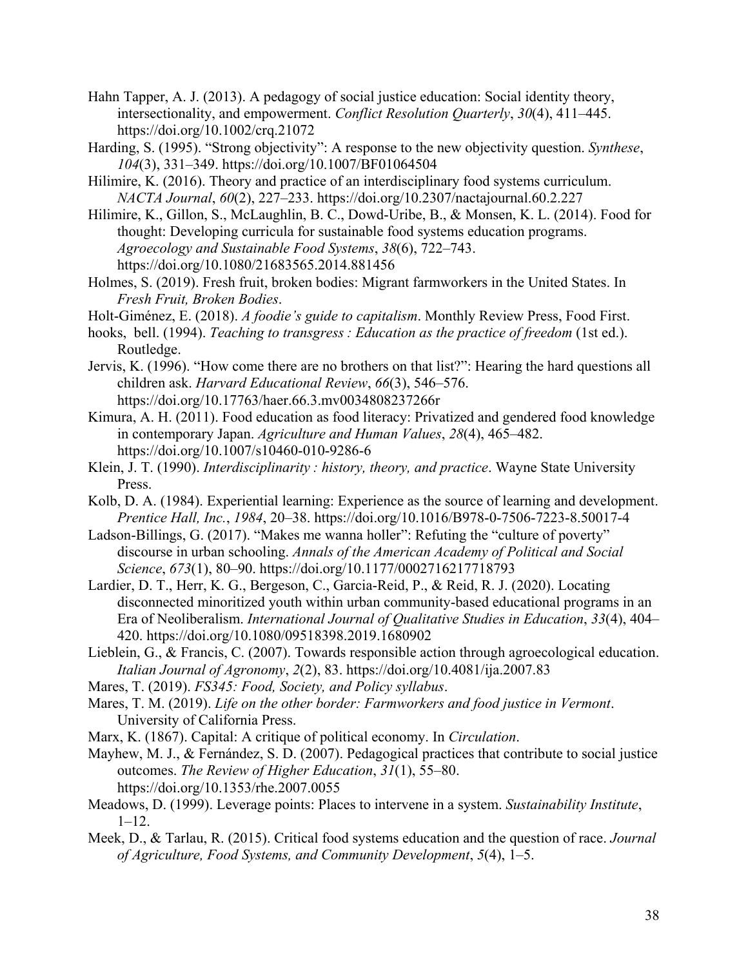- Hahn Tapper, A. J. (2013). A pedagogy of social justice education: Social identity theory, intersectionality, and empowerment. *Conflict Resolution Quarterly*, *30*(4), 411–445. https://doi.org/10.1002/crq.21072
- Harding, S. (1995). "Strong objectivity": A response to the new objectivity question. *Synthese*, *104*(3), 331–349. https://doi.org/10.1007/BF01064504
- Hilimire, K. (2016). Theory and practice of an interdisciplinary food systems curriculum. *NACTA Journal*, *60*(2), 227–233. https://doi.org/10.2307/nactajournal.60.2.227
- Hilimire, K., Gillon, S., McLaughlin, B. C., Dowd-Uribe, B., & Monsen, K. L. (2014). Food for thought: Developing curricula for sustainable food systems education programs. *Agroecology and Sustainable Food Systems*, *38*(6), 722–743. https://doi.org/10.1080/21683565.2014.881456
- Holmes, S. (2019). Fresh fruit, broken bodies: Migrant farmworkers in the United States. In *Fresh Fruit, Broken Bodies*.
- Holt-Giménez, E. (2018). *A foodie's guide to capitalism*. Monthly Review Press, Food First.
- hooks, bell. (1994). *Teaching to transgress : Education as the practice of freedom* (1st ed.). Routledge.
- Jervis, K. (1996). "How come there are no brothers on that list?": Hearing the hard questions all children ask. *Harvard Educational Review*, *66*(3), 546–576. https://doi.org/10.17763/haer.66.3.mv0034808237266r
- Kimura, A. H. (2011). Food education as food literacy: Privatized and gendered food knowledge in contemporary Japan. *Agriculture and Human Values*, *28*(4), 465–482. https://doi.org/10.1007/s10460-010-9286-6
- Klein, J. T. (1990). *Interdisciplinarity : history, theory, and practice*. Wayne State University Press.
- Kolb, D. A. (1984). Experiential learning: Experience as the source of learning and development. *Prentice Hall, Inc.*, *1984*, 20–38. https://doi.org/10.1016/B978-0-7506-7223-8.50017-4
- Ladson-Billings, G. (2017). "Makes me wanna holler": Refuting the "culture of poverty" discourse in urban schooling. *Annals of the American Academy of Political and Social Science*, *673*(1), 80–90. https://doi.org/10.1177/0002716217718793
- Lardier, D. T., Herr, K. G., Bergeson, C., Garcia-Reid, P., & Reid, R. J. (2020). Locating disconnected minoritized youth within urban community-based educational programs in an Era of Neoliberalism. *International Journal of Qualitative Studies in Education*, *33*(4), 404– 420. https://doi.org/10.1080/09518398.2019.1680902
- Lieblein, G., & Francis, C. (2007). Towards responsible action through agroecological education. *Italian Journal of Agronomy*, *2*(2), 83. https://doi.org/10.4081/ija.2007.83
- Mares, T. (2019). *FS345: Food, Society, and Policy syllabus*.
- Mares, T. M. (2019). *Life on the other border: Farmworkers and food justice in Vermont*. University of California Press.
- Marx, K. (1867). Capital: A critique of political economy. In *Circulation*.
- Mayhew, M. J., & Fernández, S. D. (2007). Pedagogical practices that contribute to social justice outcomes. *The Review of Higher Education*, *31*(1), 55–80. https://doi.org/10.1353/rhe.2007.0055
- Meadows, D. (1999). Leverage points: Places to intervene in a system. *Sustainability Institute*, 1–12.
- Meek, D., & Tarlau, R. (2015). Critical food systems education and the question of race. *Journal of Agriculture, Food Systems, and Community Development*, *5*(4), 1–5.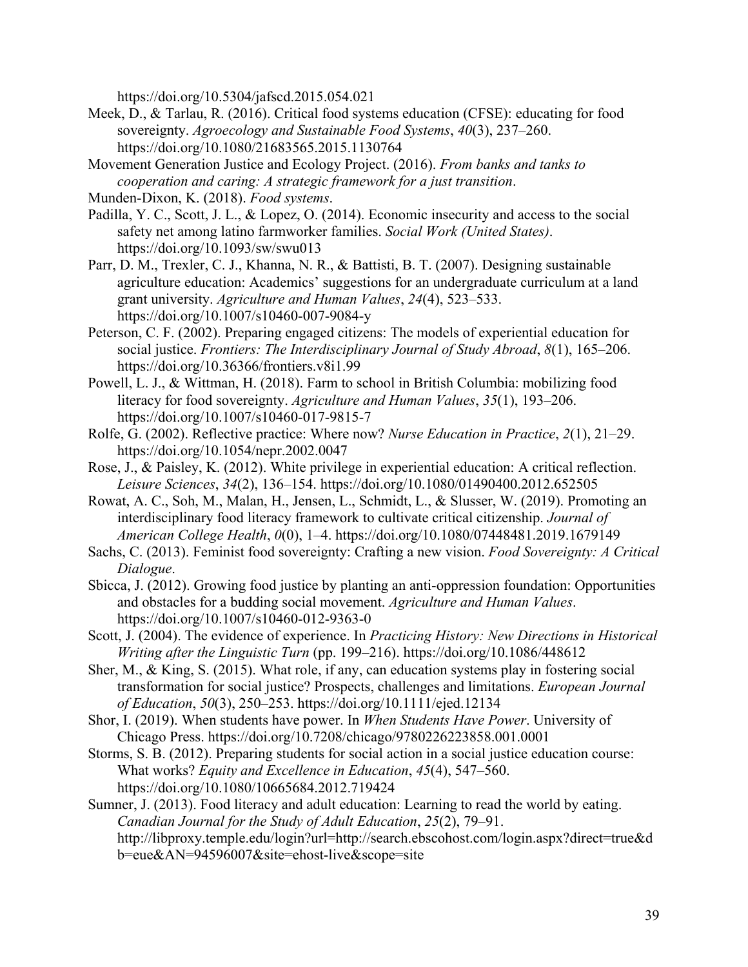https://doi.org/10.5304/jafscd.2015.054.021

- Meek, D., & Tarlau, R. (2016). Critical food systems education (CFSE): educating for food sovereignty. *Agroecology and Sustainable Food Systems*, *40*(3), 237–260. https://doi.org/10.1080/21683565.2015.1130764
- Movement Generation Justice and Ecology Project. (2016). *From banks and tanks to cooperation and caring: A strategic framework for a just transition*.

- Padilla, Y. C., Scott, J. L., & Lopez, O. (2014). Economic insecurity and access to the social safety net among latino farmworker families. *Social Work (United States)*. https://doi.org/10.1093/sw/swu013
- Parr, D. M., Trexler, C. J., Khanna, N. R., & Battisti, B. T. (2007). Designing sustainable agriculture education: Academics' suggestions for an undergraduate curriculum at a land grant university. *Agriculture and Human Values*, *24*(4), 523–533. https://doi.org/10.1007/s10460-007-9084-y
- Peterson, C. F. (2002). Preparing engaged citizens: The models of experiential education for social justice. *Frontiers: The Interdisciplinary Journal of Study Abroad*, *8*(1), 165–206. https://doi.org/10.36366/frontiers.v8i1.99
- Powell, L. J., & Wittman, H. (2018). Farm to school in British Columbia: mobilizing food literacy for food sovereignty. *Agriculture and Human Values*, *35*(1), 193–206. https://doi.org/10.1007/s10460-017-9815-7
- Rolfe, G. (2002). Reflective practice: Where now? *Nurse Education in Practice*, *2*(1), 21–29. https://doi.org/10.1054/nepr.2002.0047
- Rose, J., & Paisley, K. (2012). White privilege in experiential education: A critical reflection. *Leisure Sciences*, *34*(2), 136–154. https://doi.org/10.1080/01490400.2012.652505
- Rowat, A. C., Soh, M., Malan, H., Jensen, L., Schmidt, L., & Slusser, W. (2019). Promoting an interdisciplinary food literacy framework to cultivate critical citizenship. *Journal of American College Health*, *0*(0), 1–4. https://doi.org/10.1080/07448481.2019.1679149
- Sachs, C. (2013). Feminist food sovereignty: Crafting a new vision. *Food Sovereignty: A Critical Dialogue*.
- Sbicca, J. (2012). Growing food justice by planting an anti-oppression foundation: Opportunities and obstacles for a budding social movement. *Agriculture and Human Values*. https://doi.org/10.1007/s10460-012-9363-0
- Scott, J. (2004). The evidence of experience. In *Practicing History: New Directions in Historical Writing after the Linguistic Turn* (pp. 199–216). https://doi.org/10.1086/448612
- Sher, M., & King, S. (2015). What role, if any, can education systems play in fostering social transformation for social justice? Prospects, challenges and limitations. *European Journal of Education*, *50*(3), 250–253. https://doi.org/10.1111/ejed.12134
- Shor, I. (2019). When students have power. In *When Students Have Power*. University of Chicago Press. https://doi.org/10.7208/chicago/9780226223858.001.0001
- Storms, S. B. (2012). Preparing students for social action in a social justice education course: What works? *Equity and Excellence in Education*, *45*(4), 547–560. https://doi.org/10.1080/10665684.2012.719424
- Sumner, J. (2013). Food literacy and adult education: Learning to read the world by eating. *Canadian Journal for the Study of Adult Education*, *25*(2), 79–91. http://libproxy.temple.edu/login?url=http://search.ebscohost.com/login.aspx?direct=true&d b=eue&AN=94596007&site=ehost-live&scope=site

Munden-Dixon, K. (2018). *Food systems*.